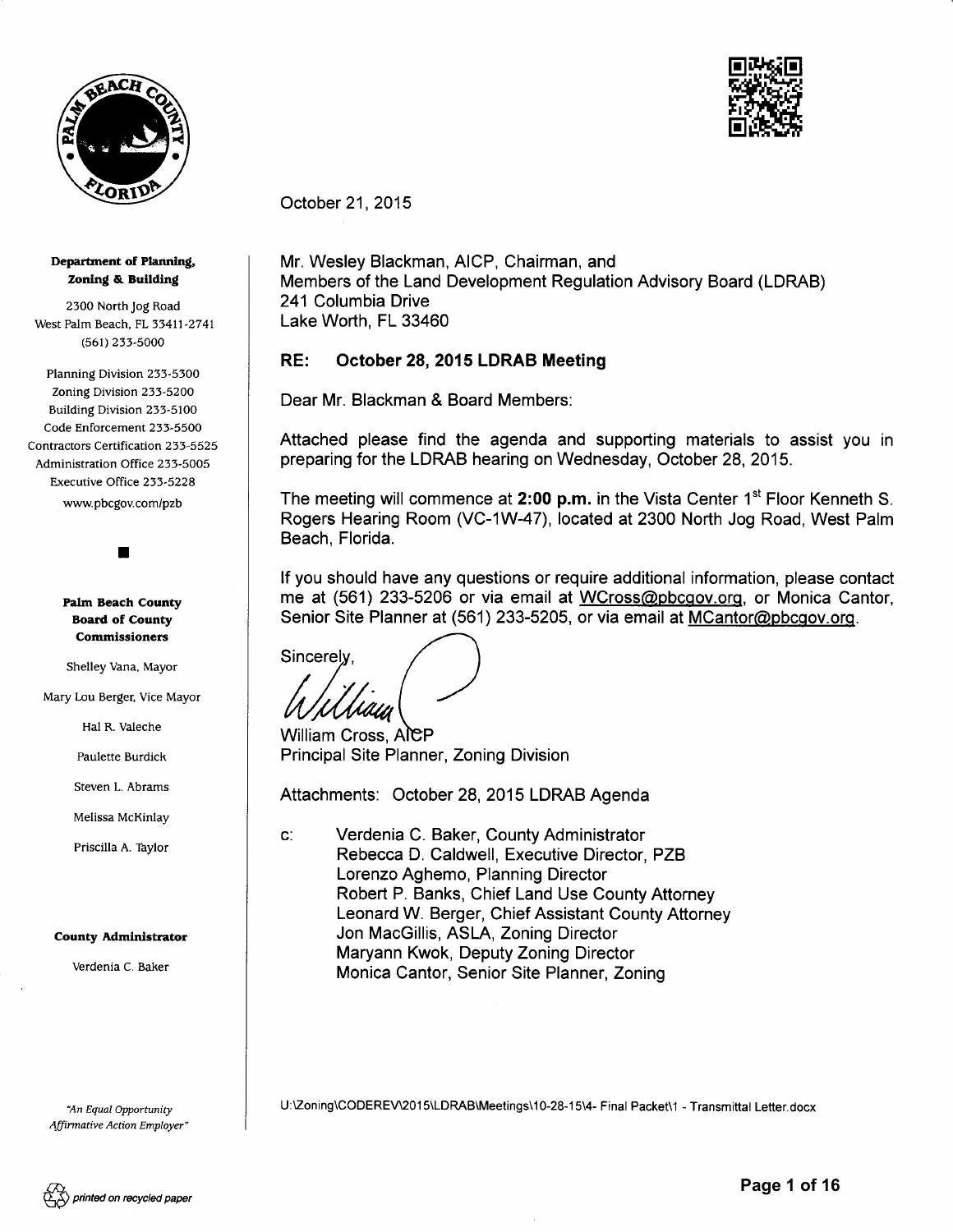



October 21,2015

#### Department of Planning, Zoning & Building

2300 North Jog Road 2300 North Jog Road West Palm Beach, FL 33411-2741 West Palm Beach. FL 33411-2741 (561) 233-5OO0 (561) 233-5000

Planning Division 233-53OO Planning Division 233-5300 Zoning Division 233-52OO Zoning Division 233-5200 Building Division 253-51OO Building Division 233-5100 Code Enforcement 233-55OO Code Enforcement 233-5500 Contractors Certification 233-5525 Contractors Certification 233-5525 Administration Office 233- 5oO5 Administration Office 233-5005 Executive Office 233 - 5228 Executive Office 233-5228 www.pbcgov.com/pzb www.pbcgov.com/pzb

I •

#### Pafm Beach County Palm Beach County Board of County Board of County Commissioners Commissioners

Shelley Vana, Mayor Shelley Vana. Mayor

Mary l.ou Berger, Vice Mayor Mary Lou Berger. Vice Mayor

Hal R. Valeche Hal R. Valeche

Paulette Burdick Paulette Burdick

Steven L. Abrams Steven L. Abrams

Melissa McKinlay

Priscilla A. Taylor

# County Adminlstrator Melissa McKinlay<br>Priscilla A. Taylor<br>**County Administrator**

Verdenia C. Baker Verdenia C. Baker

'An Equal Wottunity *"An Equal Opportunity*  Affirmative Ac tion Employer " *Affinnative Action Employer"* 

October 21, 2015<br>Mr. Wesley Blackman, AICP, Chairman, and Members of the Land Development Regulation Advisory Board (LDRAB) Members of the Land Development Regulation Advisory Board (LDRAB) 241 Columbia Drive 241 Columbia Drive Lake Worth, FL 33460

# Lake Worth, FL 33460<br><mark>RE: October 28, 2015 LDRAB Meeting</mark>

Dear Mr. Blackman & Board Members: Dear Mr. Blackman & Board Members:

Attached please find the agenda and supporting materials to assist you in Attached please find the agenda and supporting materials to assist you in preparing for the LDRAB hearing on Wednesday, October 28, 2015.

preparing for the LDRAB hearing on Wednesday, October 28, 2015.<br>The meeting will commence at **2:00 p.m.** in the Vista Center 1<sup>st</sup> Floor Kenneth S. Rogers Hearing Room (VC-1W-47), located at 2300 North Jog Road, West Palm Rogers Hearing Room (VC-1W-47), located at 2300 North Jog Road, West Palm Beach, Florida. Beach, Florida .

lf you should have any questions or require additional information, please contact If you should have any questions or require additional information, please contact me at (561) 233-5206 or via email at WCross@pbcgov.org, or Monica Cantor, Senior Site Planner at (561) 233-5205, or via email at <u>MCantor@pbcgov.org</u>.

Sincerely,<br>*WWWWW*<br>William Cross, Alep

Principal Site Planner, Zoning Division Principal Site Planner, Zoning Division William Cross, AICP

Attachments: October 28, 2015 LDRAB Agenda

c: Verdenia C. Baker, County Administrator c: Verdenia C. Baker, County Administrator Rebecca D. Caldwell, Executive Director, PZB Rebecca D. Caldwell, Executive Director, PZB Lorenzo Aghemo, Planning Director Lorenzo Aghemo, Planning Director Robert P. Banks, Chief Land Use County Attorney Robert P. Banks, Chief Land Use County Attorney Leonard W. Berger, Chief Assistant County Attorney Leonard W. Berger, Chief Assistant County Attorney Jon MacGillis, ASLA, Zoning Director Jon MacGillis, ASLA, Zoning Director Maryann Kwok, Deputy Zoning Director Maryann Kwok, Deputy Zoning Director Monica Cantor, Senior Site Planner, Zoning

U:\Zoning\CODERE\ 2015\LDRAB\Meetings\10-28-15\4- Final Packet\1 - Transmittal Letter.docx Monica Cantor, Senior Site Planner, Zoning U:lZoning\CODEREV\2015\LDRAB\Meetings\1 0-28-15\4- Final Packet\1 - Transmittal Letter.docx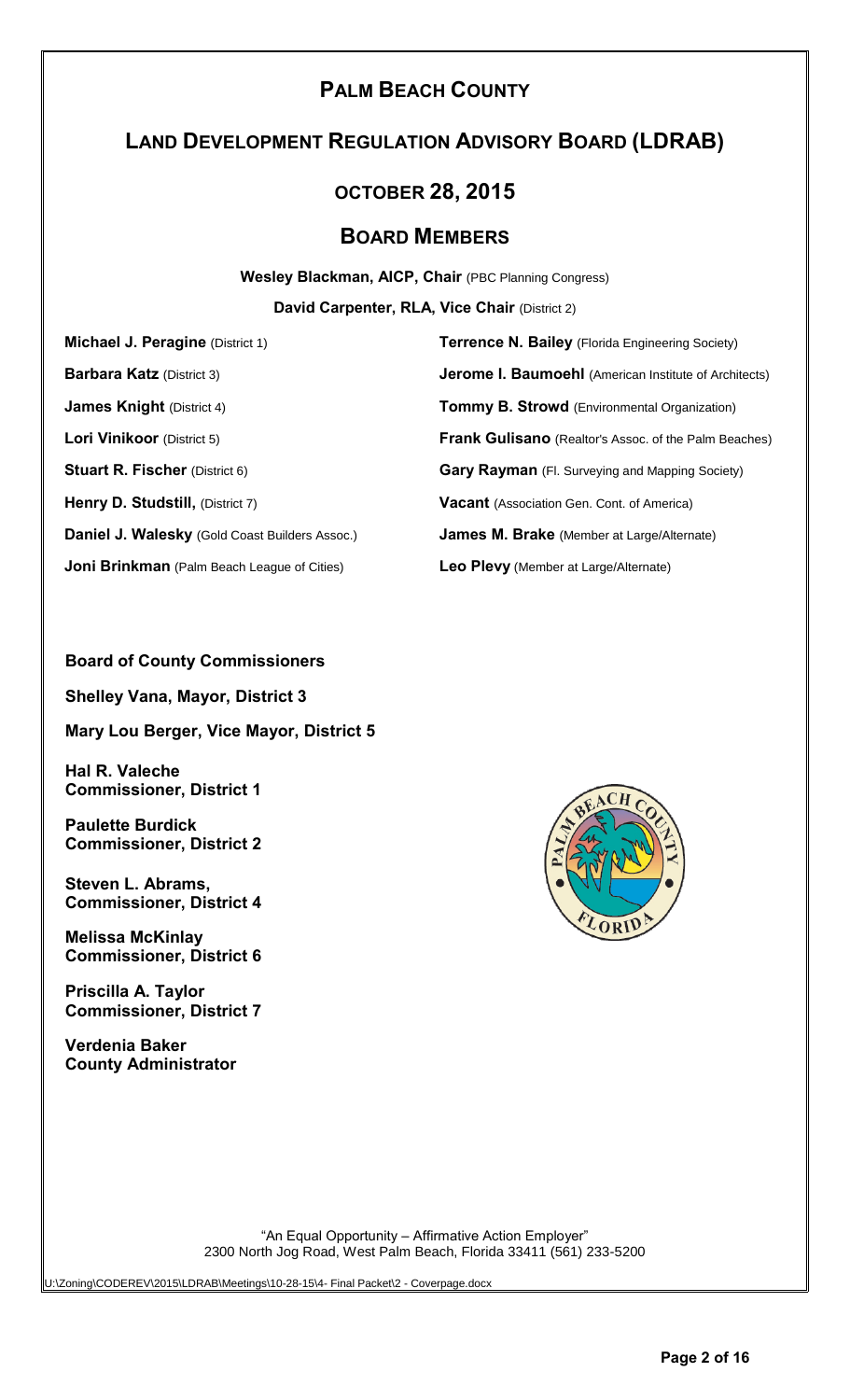### **PALM BEACH COUNTY**

### **LAND DEVELOPMENT REGULATION ADVISORY BOARD (LDRAB)**

### **OCTOBER 28, 2015**

### **BOARD MEMBERS**

**Wesley Blackman, AICP, Chair** (PBC Planning Congress)

**David Carpenter, RLA, Vice Chair** (District 2)

**Daniel J. Walesky** (Gold Coast Builders Assoc.) **James M. Brake** (Member at Large/Alternate)

**Joni Brinkman** (Palm Beach League of Cities) **Leo Plevy** (Member at Large/Alternate)

**Michael J. Peragine** (District 1) **Terrence N. Bailey** (Florida Engineering Society) **Barbara Katz** (District 3) **Jerome I. Baumoehl** (American Institute of Architects) **James Knight** (District 4) **Tommy B. Strowd** (Environmental Organization) **Lori Vinikoor** (District 5) **Frank Gulisano** (Realtor's Assoc. of the Palm Beaches) **Stuart R. Fischer** (District 6) **Gary Rayman** (Fl. Surveying and Mapping Society) **Henry D. Studstill,** (District 7) **Vacant** (Association Gen. Cont. of America)

### **Board of County Commissioners**

**Shelley Vana, Mayor, District 3**

**Mary Lou Berger, Vice Mayor, District 5**

**Hal R. Valeche Commissioner, District 1**

**Paulette Burdick Commissioner, District 2**

**Steven L. Abrams, Commissioner, District 4**

**Melissa McKinlay Commissioner, District 6**

**Priscilla A. Taylor Commissioner, District 7**

**Verdenia Baker County Administrator**



"An Equal Opportunity – Affirmative Action Employer" 2300 North Jog Road, West Palm Beach, Florida 33411 (561) 233-5200

U:\Zoning\CODEREV\2015\LDRAB\Meetings\10-28-15\4- Final Packet\2 - Coverpage.docx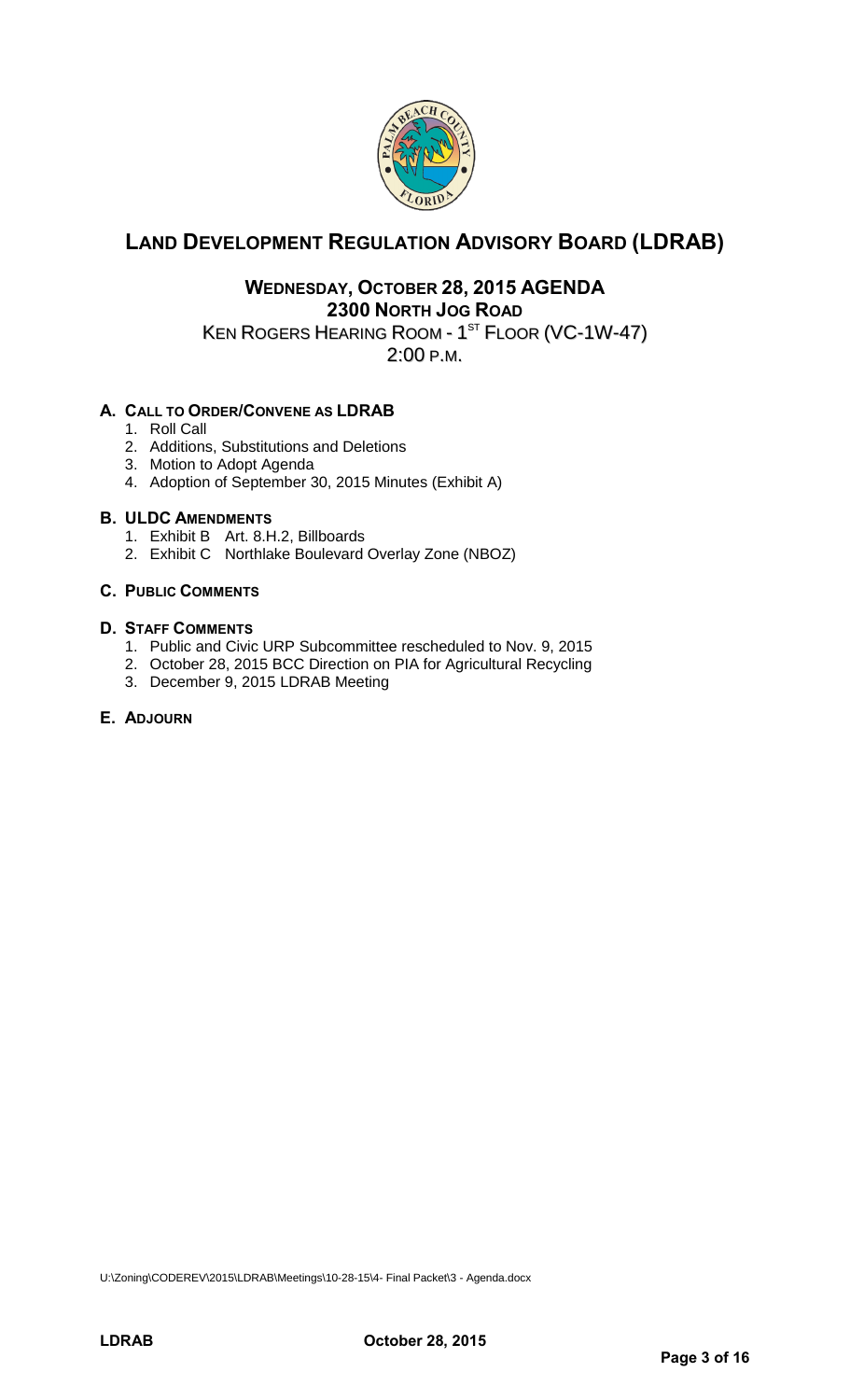

### **LAND DEVELOPMENT REGULATION ADVISORY BOARD (LDRAB)**

### **WEDNESDAY, OCTOBER 28, 2015 AGENDA 2300 NORTH JOG ROAD**

KEN ROGERS HEARING ROOM - 1 $^{\mathrm{ST}}$  Floor (VC-1W-47)

2:00 P.M.

### **A. CALL TO ORDER/CONVENE AS LDRAB**

- 1. Roll Call
- 2. Additions, Substitutions and Deletions
- 3. Motion to Adopt Agenda
- 4. Adoption of September 30, 2015 Minutes (Exhibit A)

### **B. ULDC AMENDMENTS**

- 1. Exhibit B Art. 8.H.2, Billboards
- 2. Exhibit C Northlake Boulevard Overlay Zone (NBOZ)

### **C. PUBLIC COMMENTS**

### **D. STAFF COMMENTS**

- 1. Public and Civic URP Subcommittee rescheduled to Nov. 9, 2015
- 2. October 28, 2015 BCC Direction on PIA for Agricultural Recycling
- 3. December 9, 2015 LDRAB Meeting

### **E. ADJOURN**

U:\Zoning\CODEREV\2015\LDRAB\Meetings\10-28-15\4- Final Packet\3 - Agenda.docx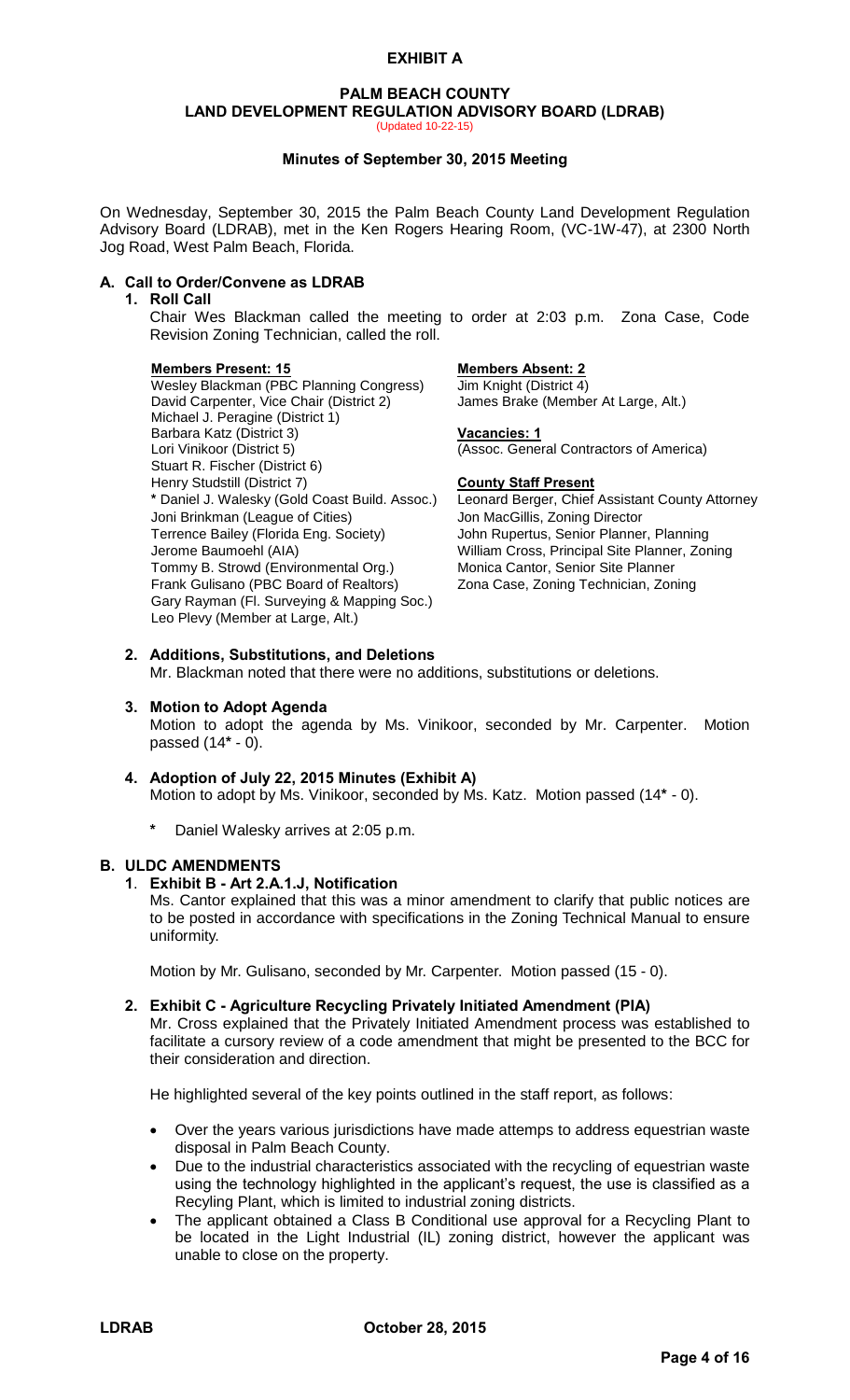### **PALM BEACH COUNTY LAND DEVELOPMENT REGULATION ADVISORY BOARD (LDRAB)**

(Updated 10-22-15)

#### **Minutes of September 30, 2015 Meeting**

On Wednesday, September 30, 2015 the Palm Beach County Land Development Regulation Advisory Board (LDRAB), met in the Ken Rogers Hearing Room, (VC-1W-47), at 2300 North Jog Road, West Palm Beach, Florida.

### **A. Call to Order/Convene as LDRAB**

### **1. Roll Call**

Chair Wes Blackman called the meeting to order at 2:03 p.m. Zona Case, Code Revision Zoning Technician, called the roll.

#### **Members Present: 15 Members Absent: 2**

Wesley Blackman (PBC Planning Congress) Jim Knight (District 4)<br>David Carpenter, Vice Chair (District 2) James Brake (Member At Large, Alt.) David Carpenter, Vice Chair (District 2) Michael J. Peragine (District 1) Barbara Katz (District 3) **Vacancies: 1**<br>
Lori Vinikoor (District 5) (Assoc. Gener Stuart R. Fischer (District 6) Henry Studstill (District 7) **County Staff Present** \* Daniel J. Walesky (Gold Coast Build. Assoc.) Leonard Berger, Chief Joni Brinkman (League of Cities) Jon MacGillis, Zoning Director Terrence Bailey (Florida Eng. Society) John Rupertus, Senior Planner, Planning Jerome Baumoehl (AIA) William Cross, Principal Site Planner, Zoning Tommy B. Strowd (Environmental Org.) Monica Cantor, Senior Site Planner Frank Gulisano (PBC Board of Realtors) Zona Case, Zoning Technician, Zoning Gary Rayman (Fl. Surveying & Mapping Soc.) Leo Plevy (Member at Large, Alt.)

(Assoc. General Contractors of America)

Leonard Berger, Chief Assistant County Attorney

#### **2. Additions, Substitutions, and Deletions**  Mr. Blackman noted that there were no additions, substitutions or deletions.

### **3. Motion to Adopt Agenda**

Motion to adopt the agenda by Ms. Vinikoor, seconded by Mr. Carpenter. Motion passed (14**\*** - 0).

#### **4. Adoption of July 22, 2015 Minutes (Exhibit A)**  Motion to adopt by Ms. Vinikoor, seconded by Ms. Katz. Motion passed (14**\*** - 0).

**\*** Daniel Walesky arrives at 2:05 p.m.

### **B. ULDC AMENDMENTS**

#### **1**. **Exhibit B - Art 2.A.1.J, Notification**

Ms. Cantor explained that this was a minor amendment to clarify that public notices are to be posted in accordance with specifications in the Zoning Technical Manual to ensure uniformity.

Motion by Mr. Gulisano, seconded by Mr. Carpenter. Motion passed (15 - 0).

### **2. Exhibit C - Agriculture Recycling Privately Initiated Amendment (PIA)**

Mr. Cross explained that the Privately Initiated Amendment process was established to facilitate a cursory review of a code amendment that might be presented to the BCC for their consideration and direction.

He highlighted several of the key points outlined in the staff report, as follows:

- Over the years various jurisdictions have made attemps to address equestrian waste disposal in Palm Beach County.
- Due to the industrial characteristics associated with the recycling of equestrian waste using the technology highlighted in the applicant's request, the use is classified as a Recyling Plant, which is limited to industrial zoning districts.
- The applicant obtained a Class B Conditional use approval for a Recycling Plant to be located in the Light Industrial (IL) zoning district, however the applicant was unable to close on the property.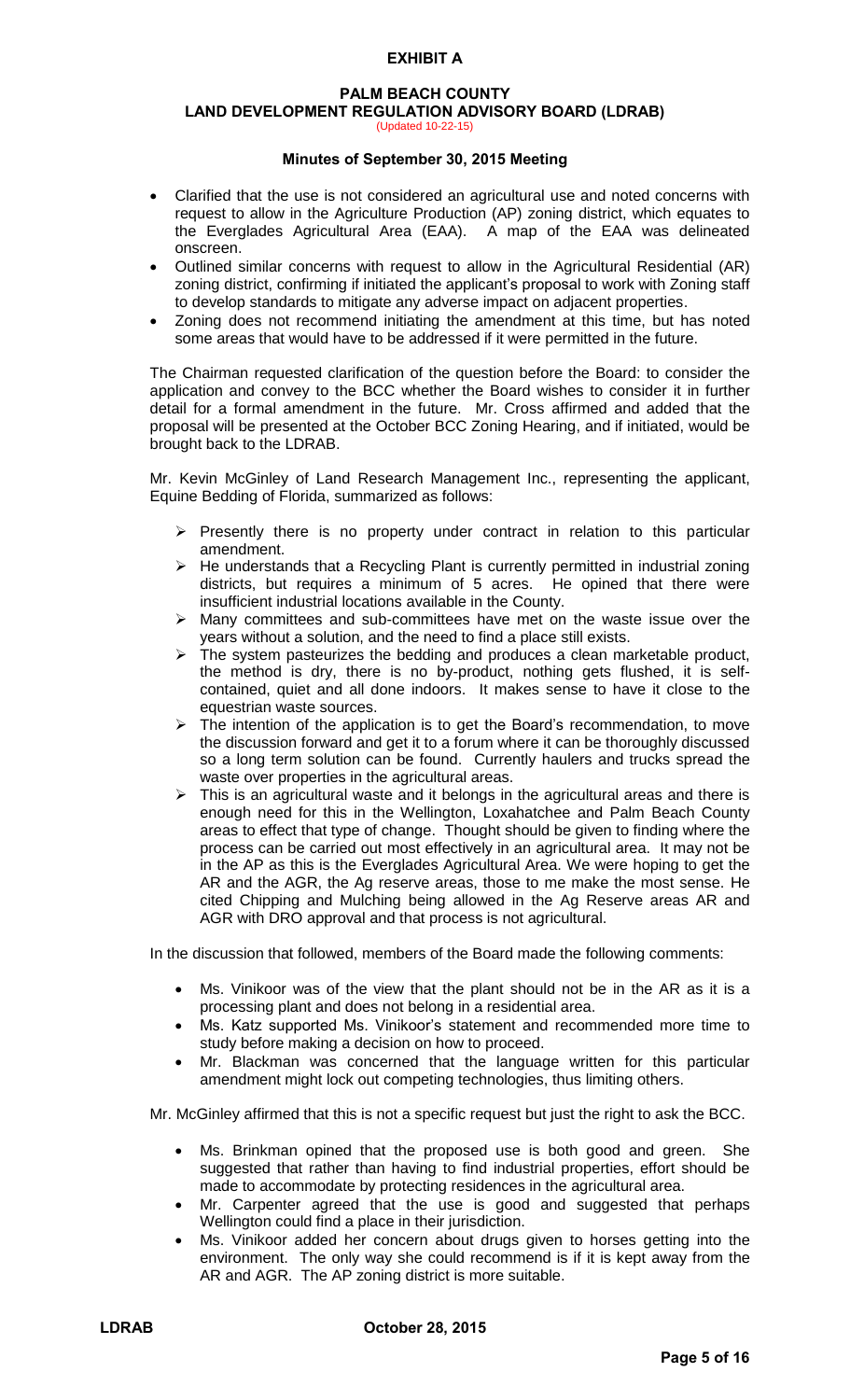### **PALM BEACH COUNTY**

**LAND DEVELOPMENT REGULATION ADVISORY BOARD (LDRAB)** 

(Updated 10-22-15)

### **Minutes of September 30, 2015 Meeting**

- Clarified that the use is not considered an agricultural use and noted concerns with request to allow in the Agriculture Production (AP) zoning district, which equates to the Everglades Agricultural Area (EAA). A map of the EAA was delineated onscreen.
- Outlined similar concerns with request to allow in the Agricultural Residential (AR) zoning district, confirming if initiated the applicant's proposal to work with Zoning staff to develop standards to mitigate any adverse impact on adjacent properties.
- Zoning does not recommend initiating the amendment at this time, but has noted some areas that would have to be addressed if it were permitted in the future.

The Chairman requested clarification of the question before the Board: to consider the application and convey to the BCC whether the Board wishes to consider it in further detail for a formal amendment in the future. Mr. Cross affirmed and added that the proposal will be presented at the October BCC Zoning Hearing, and if initiated, would be brought back to the LDRAB.

Mr. Kevin McGinley of Land Research Management Inc., representing the applicant, Equine Bedding of Florida, summarized as follows:

- $\triangleright$  Presently there is no property under contract in relation to this particular amendment.
- $\triangleright$  He understands that a Recycling Plant is currently permitted in industrial zoning districts, but requires a minimum of 5 acres. He opined that there were insufficient industrial locations available in the County.
- $\triangleright$  Many committees and sub-committees have met on the waste issue over the years without a solution, and the need to find a place still exists.
- $\triangleright$  The system pasteurizes the bedding and produces a clean marketable product, the method is dry, there is no by-product, nothing gets flushed, it is selfcontained, quiet and all done indoors. It makes sense to have it close to the equestrian waste sources.
- $\triangleright$  The intention of the application is to get the Board's recommendation, to move the discussion forward and get it to a forum where it can be thoroughly discussed so a long term solution can be found. Currently haulers and trucks spread the waste over properties in the agricultural areas.
- $\triangleright$  This is an agricultural waste and it belongs in the agricultural areas and there is enough need for this in the Wellington, Loxahatchee and Palm Beach County areas to effect that type of change. Thought should be given to finding where the process can be carried out most effectively in an agricultural area. It may not be in the AP as this is the Everglades Agricultural Area. We were hoping to get the AR and the AGR, the Ag reserve areas, those to me make the most sense. He cited Chipping and Mulching being allowed in the Ag Reserve areas AR and AGR with DRO approval and that process is not agricultural.

In the discussion that followed, members of the Board made the following comments:

- Ms. Vinikoor was of the view that the plant should not be in the AR as it is a processing plant and does not belong in a residential area.
- Ms. Katz supported Ms. Vinikoor's statement and recommended more time to study before making a decision on how to proceed.
- Mr. Blackman was concerned that the language written for this particular amendment might lock out competing technologies, thus limiting others.

Mr. McGinley affirmed that this is not a specific request but just the right to ask the BCC.

- Ms. Brinkman opined that the proposed use is both good and green. She suggested that rather than having to find industrial properties, effort should be made to accommodate by protecting residences in the agricultural area.
- Mr. Carpenter agreed that the use is good and suggested that perhaps Wellington could find a place in their jurisdiction.
- Ms. Vinikoor added her concern about drugs given to horses getting into the environment. The only way she could recommend is if it is kept away from the AR and AGR. The AP zoning district is more suitable.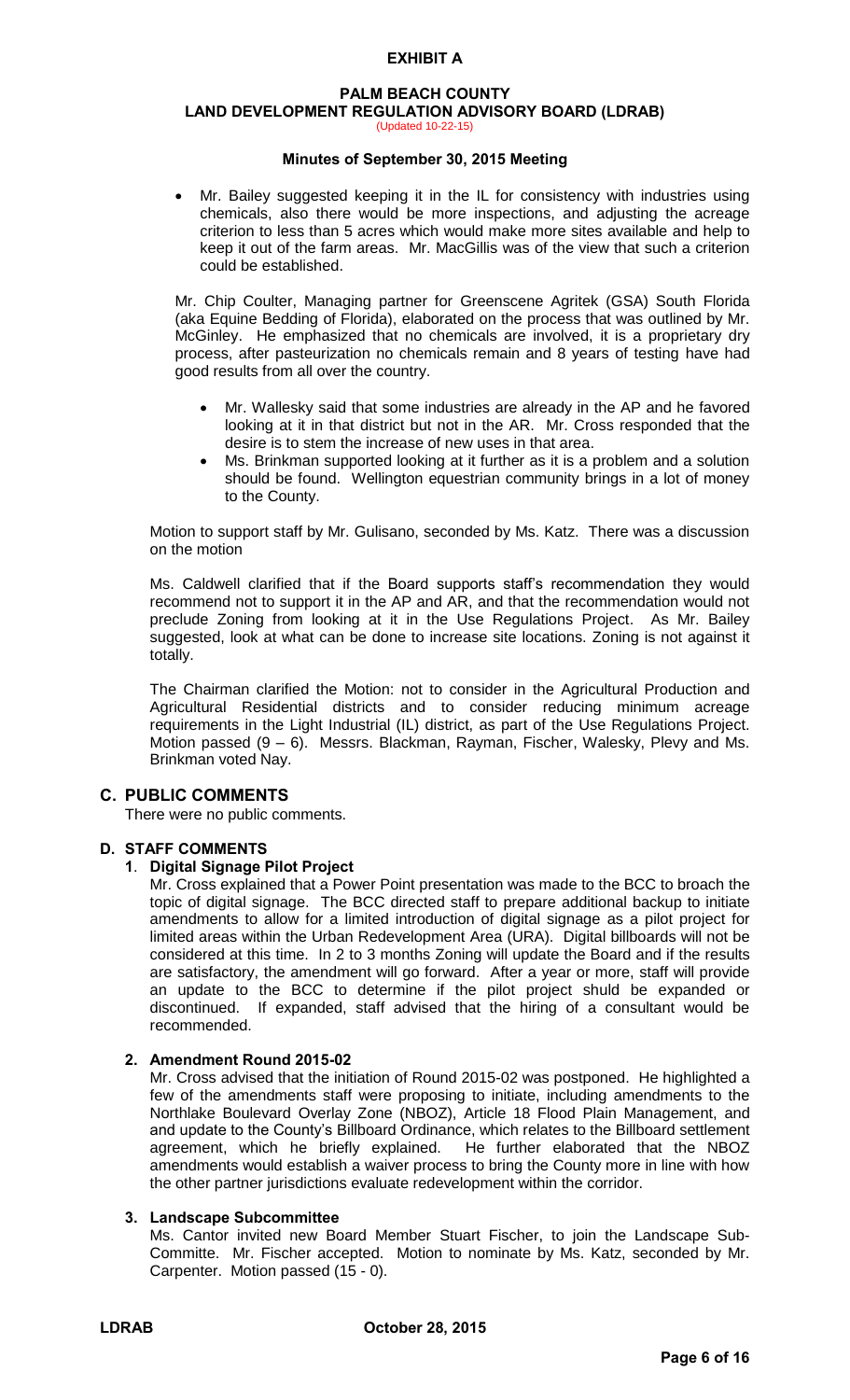#### **PALM BEACH COUNTY LAND DEVELOPMENT REGULATION ADVISORY BOARD (LDRAB)**  (Updated 10-22-15)

### **Minutes of September 30, 2015 Meeting**

 Mr. Bailey suggested keeping it in the IL for consistency with industries using chemicals, also there would be more inspections, and adjusting the acreage criterion to less than 5 acres which would make more sites available and help to keep it out of the farm areas. Mr. MacGillis was of the view that such a criterion could be established.

Mr. Chip Coulter, Managing partner for Greenscene Agritek (GSA) South Florida (aka Equine Bedding of Florida), elaborated on the process that was outlined by Mr. McGinley. He emphasized that no chemicals are involved, it is a proprietary dry process, after pasteurization no chemicals remain and 8 years of testing have had good results from all over the country.

- Mr. Wallesky said that some industries are already in the AP and he favored looking at it in that district but not in the AR. Mr. Cross responded that the desire is to stem the increase of new uses in that area.
- Ms. Brinkman supported looking at it further as it is a problem and a solution should be found. Wellington equestrian community brings in a lot of money to the County.

Motion to support staff by Mr. Gulisano, seconded by Ms. Katz. There was a discussion on the motion

Ms. Caldwell clarified that if the Board supports staff's recommendation they would recommend not to support it in the AP and AR, and that the recommendation would not preclude Zoning from looking at it in the Use Regulations Project. As Mr. Bailey suggested, look at what can be done to increase site locations. Zoning is not against it totally.

The Chairman clarified the Motion: not to consider in the Agricultural Production and Agricultural Residential districts and to consider reducing minimum acreage requirements in the Light Industrial (IL) district, as part of the Use Regulations Project. Motion passed (9 – 6). Messrs. Blackman, Rayman, Fischer, Walesky, Plevy and Ms. Brinkman voted Nay.

### **C. PUBLIC COMMENTS**

There were no public comments.

### **D. STAFF COMMENTS**

#### **1**. **Digital Signage Pilot Project**

Mr. Cross explained that a Power Point presentation was made to the BCC to broach the topic of digital signage. The BCC directed staff to prepare additional backup to initiate amendments to allow for a limited introduction of digital signage as a pilot project for limited areas within the Urban Redevelopment Area (URA). Digital billboards will not be considered at this time. In 2 to 3 months Zoning will update the Board and if the results are satisfactory, the amendment will go forward. After a year or more, staff will provide an update to the BCC to determine if the pilot project shuld be expanded or discontinued. If expanded, staff advised that the hiring of a consultant would be recommended.

#### **2. Amendment Round 2015-02**

Mr. Cross advised that the initiation of Round 2015-02 was postponed. He highlighted a few of the amendments staff were proposing to initiate, including amendments to the Northlake Boulevard Overlay Zone (NBOZ), Article 18 Flood Plain Management, and and update to the County's Billboard Ordinance, which relates to the Billboard settlement agreement, which he briefly explained. He further elaborated that the NBOZ amendments would establish a waiver process to bring the County more in line with how the other partner jurisdictions evaluate redevelopment within the corridor.

#### **3. Landscape Subcommittee**

Ms. Cantor invited new Board Member Stuart Fischer, to join the Landscape Sub-Committe. Mr. Fischer accepted. Motion to nominate by Ms. Katz, seconded by Mr. Carpenter. Motion passed (15 - 0).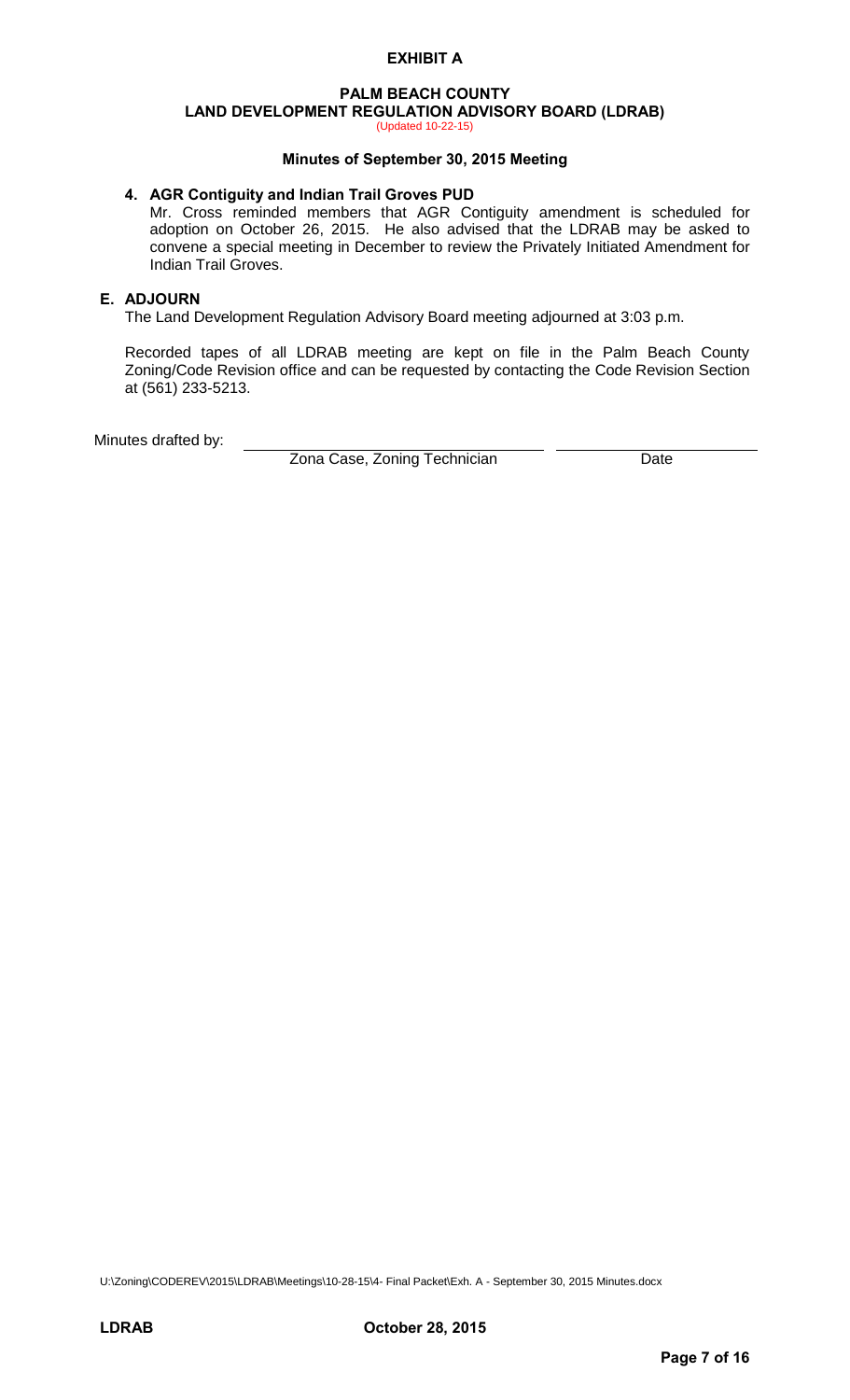### **PALM BEACH COUNTY LAND DEVELOPMENT REGULATION ADVISORY BOARD (LDRAB)**

(Updated 10-22-15)

### **Minutes of September 30, 2015 Meeting**

### **4. AGR Contiguity and Indian Trail Groves PUD**

Mr. Cross reminded members that AGR Contiguity amendment is scheduled for adoption on October 26, 2015. He also advised that the LDRAB may be asked to convene a special meeting in December to review the Privately Initiated Amendment for Indian Trail Groves.

### **E. ADJOURN**

The Land Development Regulation Advisory Board meeting adjourned at 3:03 p.m.

Recorded tapes of all LDRAB meeting are kept on file in the Palm Beach County Zoning/Code Revision office and can be requested by contacting the Code Revision Section at (561) 233-5213.

Minutes drafted by:

Zona Case, Zoning Technician **Date** 

U:\Zoning\CODEREV\2015\LDRAB\Meetings\10-28-15\4- Final Packet\Exh. A - September 30, 2015 Minutes.docx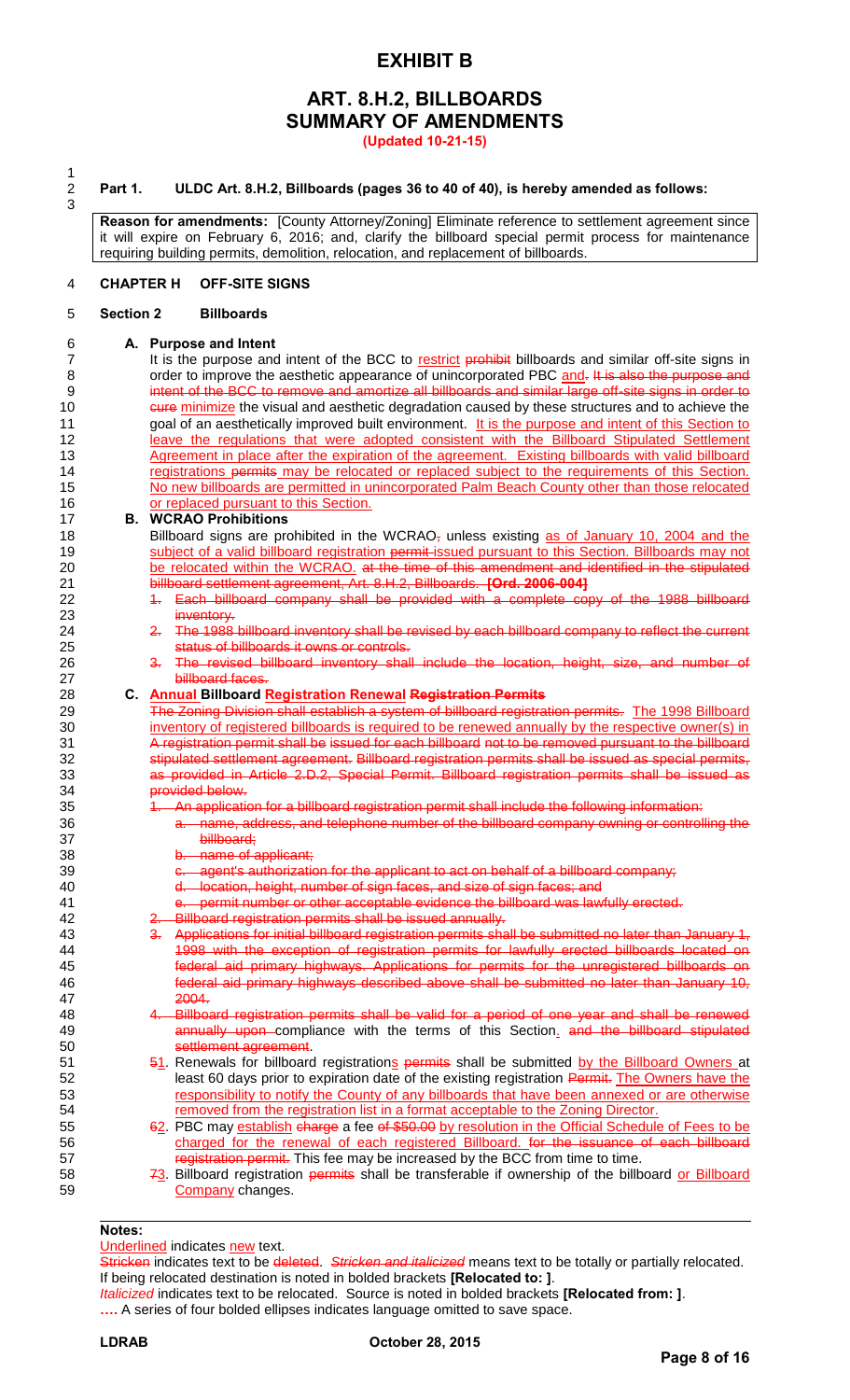### **ART. 8.H.2, BILLBOARDS SUMMARY OF AMENDMENTS**

**(Updated 10-21-15)**

 $\frac{1}{2}$ 3

#### 2 **Part 1. ULDC Art. 8.H.2, Billboards (pages 36 to 40 of 40), is hereby amended as follows:**

**Reason for amendments:** [County Attorney/Zoning] Eliminate reference to settlement agreement since it will expire on February 6, 2016; and, clarify the billboard special permit process for maintenance requiring building permits, demolition, relocation, and replacement of billboards.

#### 4 **CHAPTER H OFF-SITE SIGNS**

#### 5 **Section 2 Billboards**

### 6 **A. Purpose and Intent**

It is the purpose and intent of the BCC to restrict prohibit billboards and similar off-site signs in 8 order to improve the aesthetic appearance of unincorporated PBC and. It is also the purpose and 9 intent of the BCC to remove and amortize all billboards and similar large off-site signs in order to 10 cure minimize the visual and aesthetic degradation caused by these structures and to achieve the 11 goal of an aesthetically improved built environment. It is the purpose and intent of this Section to 12 leave the regulations that were adopted consistent with the Billboard Stipulated Settlement 13 Agreement in place after the expiration of the agreement. Existing billboards with valid billboard 14 registrations permits may be relocated or replaced subject to the requirements of this Section. 15 No new billboards are permitted in unincorporated Palm Beach County other than those relocated 16 **or replaced pursuant to this Section.** 

#### 17 **B. WCRAO Prohibitions**

18 Billboard signs are prohibited in the WCRAO<sub>r</sub> unless existing as of January 10, 2004 and the 19 subject of a valid billboard registration permit-issued pursuant to this Section. Billboards may not 20 be relocated within the WCRAO. at the time of this amendment and identified in the stipulated 21 billboard settlement agreement, [Art. 8.H.2, Billboards.](http://epzb/uldc/LinkToSectionLink.asp?bookmark_seq=2779) **[Ord. 2006-004]**

- 22 1. Each billboard company shall be provided with a complete copy of the 1988 billboard 23 inventory.
- 24 24 2. The 1988 billboard inventory shall be revised by each billboard company to reflect the current 25 **Status of billboards it owns or controls.**
- 26 3. The revised billboard inventory shall include the location, height, size, and number of 27 billboard faces.

### 28 **C. Annual Billboard Registration Renewal Registration Permits**

The Zoning Division shall establish a system of billboard registration permits. The 1998 Billboard 30 inventory of registered billboards is required to be renewed annually by the respective owner(s) in 31 A registration permit shall be issued for each billboard not to be removed pursuant to the billboard 32 stipulated settlement agreement. Billboard registration permits shall be issued as special permits, 33 as provided in [Article 2.D.2, Special Permit.](http://www.co.palm-beach.fl.us/epzb/uldc/LinkToSectionLink.asp?bookmark_seq=170) Billboard registration permits shall be issued as 34 provided below.

- 35 1. An application for a billboard registration permit shall include the following information:
- 36 **a. name, address, and telephone number of the billboard company owning or controlling the** 37 billboard;
- 38 b. name of applicant;
- 39 **c. agent's authorization for the applicant to act on behalf of a billboard company;**
- 40 d. location, height, number of sign faces, and size of sign faces; and
- 41 e. permit number or other acceptable evidence the billboard was lawfully erected.
- 42 2. Billboard registration permits shall be issued annually.

43 3. Applications for initial billboard registration permits shall be submitted no later than January 1, 44 1998 with the exception of registration permits for lawfully erected billboards located on 45 federal aid primary highways. Applications for permits for the unregistered billboards on 46 federal aid primary highways described above shall be submitted no later than January 10, 47 2004.

- 48 4. Billboard registration permits shall be valid for a period of one year and shall be renewed 49 **annually upon compliance** with the terms of this Section<sub>-</sub> and the billboard stipulated 450 50 settlement agreement.
- 51 51. Renewals for billboard registrations permits shall be submitted by the Billboard Owners at 52 least 60 days prior to expiration date of the existing registration Permit. The Owners have the 53 responsibility to notify the County of any billboards that have been annexed or are otherwise 54 removed from the registration list in a format acceptable to the Zoning Director.
- 62. PBC may establish charge a fee of \$50.00 by resolution in the Official Schedule of Fees to be<br>Fe see that the renewal of each registered Billboard, for the issuance of each billboard 56 charged for the renewal of each registered Billboard. for the issuance of 57 registration permit. This fee may be increased by the BCC from time to time.

58 73. Billboard registration permits shall be transferable if ownership of the billboard or Billboard 59 Company changes.

#### **Notes:**

#### Underlined indicates new text.

Stricken indicates text to be deleted. *Stricken and italicized* means text to be totally or partially relocated. If being relocated destination is noted in bolded brackets **[Relocated to: ]**.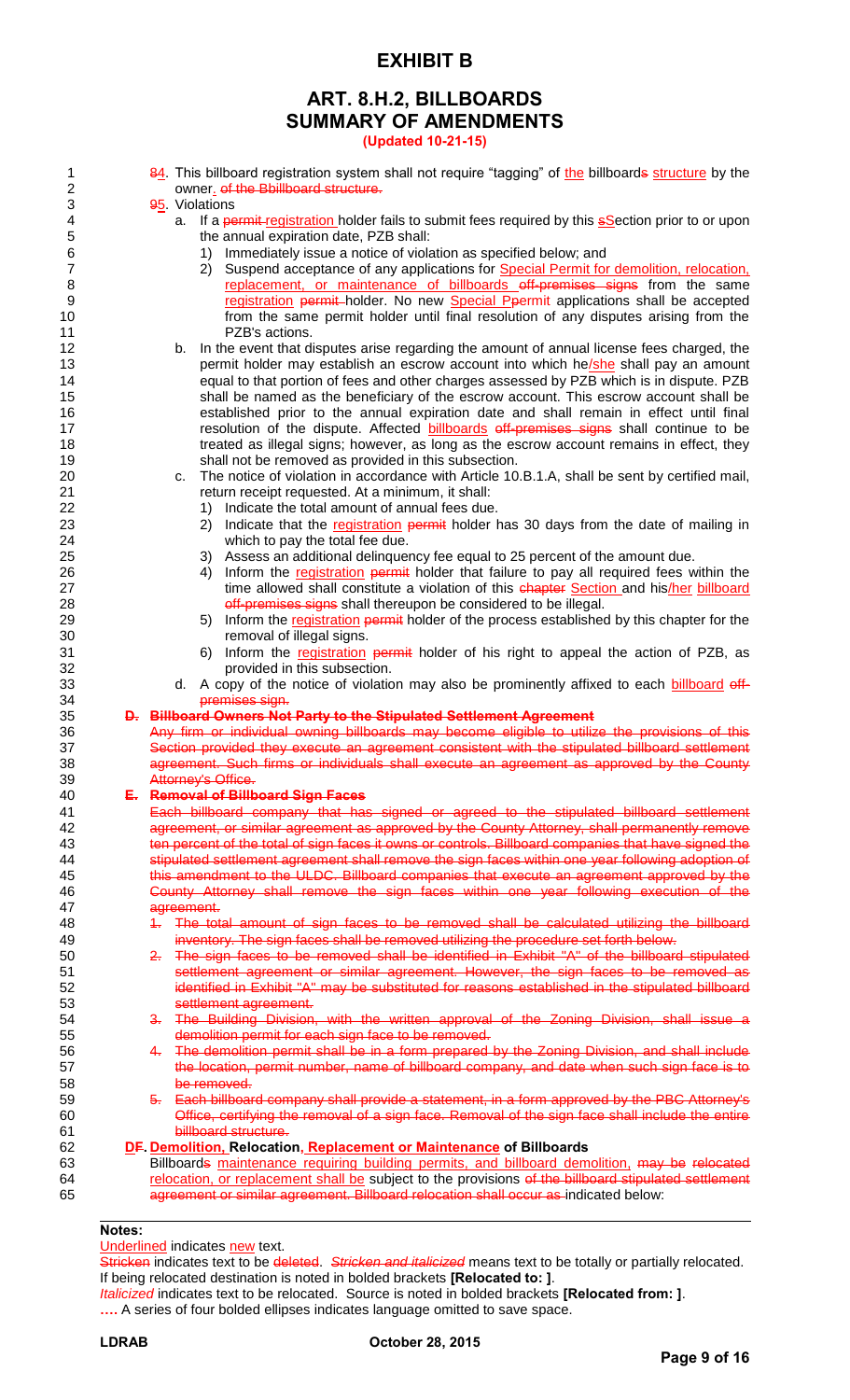### **ART. 8.H.2, BILLBOARDS SUMMARY OF AMENDMENTS**

**(Updated 10-21-15)**

| 84. This billboard registration system shall not require "tagging" of the billboards structure by the                                                                             |
|-----------------------------------------------------------------------------------------------------------------------------------------------------------------------------------|
| owner. of the Bbillboard structure.<br>95. Violations                                                                                                                             |
| a. If a permit-registration holder fails to submit fees required by this <b>s</b> Section prior to or upon                                                                        |
| the annual expiration date, PZB shall:                                                                                                                                            |
| Immediately issue a notice of violation as specified below; and<br>1)                                                                                                             |
| Suspend acceptance of any applications for Special Permit for demolition, relocation,<br>2)<br>replacement, or maintenance of billboards off-premises signs from the same         |
| registration permit holder. No new Special Ppermit applications shall be accepted                                                                                                 |
| from the same permit holder until final resolution of any disputes arising from the                                                                                               |
| PZB's actions.                                                                                                                                                                    |
| b. In the event that disputes arise regarding the amount of annual license fees charged, the                                                                                      |
| permit holder may establish an escrow account into which he/she shall pay an amount                                                                                               |
| equal to that portion of fees and other charges assessed by PZB which is in dispute. PZB<br>shall be named as the beneficiary of the escrow account. This escrow account shall be |
| established prior to the annual expiration date and shall remain in effect until final                                                                                            |
| resolution of the dispute. Affected billboards off-premises signs shall continue to be                                                                                            |
| treated as illegal signs; however, as long as the escrow account remains in effect, they                                                                                          |
| shall not be removed as provided in this subsection.                                                                                                                              |
| The notice of violation in accordance with Article 10.B.1.A, shall be sent by certified mail,<br>C.                                                                               |
| return receipt requested. At a minimum, it shall:<br>Indicate the total amount of annual fees due.<br>1)                                                                          |
| Indicate that the registration permit holder has 30 days from the date of mailing in<br>2)                                                                                        |
| which to pay the total fee due.                                                                                                                                                   |
| Assess an additional delinquency fee equal to 25 percent of the amount due.<br>3)                                                                                                 |
| Inform the registration permit holder that failure to pay all required fees within the<br>4)                                                                                      |
| time allowed shall constitute a violation of this chapter Section and his/her billboard                                                                                           |
| off-premises signs shall thereupon be considered to be illegal.<br>Inform the registration permit holder of the process established by this chapter for the<br>5)                 |
| removal of illegal signs.                                                                                                                                                         |
| Inform the registration permit holder of his right to appeal the action of PZB, as<br>6)                                                                                          |
| provided in this subsection.                                                                                                                                                      |
| d. A copy of the notice of violation may also be prominently affixed to each billboard off-                                                                                       |
| premises sign.<br>D. Billboard Owners Not Party to the Stipulated Settlement Agreement                                                                                            |
| Any firm or individual owning billboards may become eligible to utilize the provisions of this                                                                                    |
| Section provided they execute an agreement consistent with the stipulated billboard settlement                                                                                    |
| agreement. Such firms or individuals shall execute an agreement as approved by the County                                                                                         |
| Attorney's Office.                                                                                                                                                                |
| E. Removal of Billboard Sign Faces<br>Each billboard company that has signed or agreed to the stipulated billboard settlement                                                     |
| agreement, or similar agreement as approved by the County Attorney, shall permanently remove                                                                                      |
| ten percent of the total of sign faces it owns or controls. Billboard companies that have signed the                                                                              |
| stipulated settlement agreement shall remove the sign faces within one year following adoption of                                                                                 |
| this amendment to the ULDC. Billboard companies that execute an agreement approved by the                                                                                         |
| County Attorney shall remove the sign faces within one year following execution of the                                                                                            |
| agreement.<br>The total amount of sign faces to be removed shall be calculated utilizing the billboard<br>$+$                                                                     |
| inventory. The sign faces shall be removed utilizing the procedure set forth below.                                                                                               |
| 2. The sign faces to be removed shall be identified in Exhibit "A" of the billboard stipulated                                                                                    |
| settlement agreement or similar agreement. However, the sign faces to be removed as                                                                                               |
| identified in Exhibit "A" may be substituted for reasons established in the stipulated billboard                                                                                  |
| settlement agreement.                                                                                                                                                             |
| 3. The Building Division, with the written approval of the Zoning Division, shall issue a<br>demolition permit for each sign face to be removed.                                  |
| 4. The demolition permit shall be in a form prepared by the Zoning Division, and shall include                                                                                    |
| the location, permit number, name of billboard company, and date when such sign face is to                                                                                        |
| be removed.                                                                                                                                                                       |
| 5. Each billboard company shall provide a statement, in a form approved by the PBC Attorney's                                                                                     |
| Office, certifying the removal of a sign face. Removal of the sign face shall include the entire<br>billboard structure.                                                          |
| DF. Demolition, Relocation, Replacement or Maintenance of Billboards                                                                                                              |
| Billboards maintenance requiring building permits, and billboard demolition, may be relocated                                                                                     |
| relocation, or replacement shall be subject to the provisions of the billboard stipulated settlement                                                                              |
| agreement or similar agreement. Billboard relocation shall occur as indicated below:                                                                                              |
|                                                                                                                                                                                   |

### **Notes:**

#### Underlined indicates new text.

Stricken indicates text to be deleted. *Stricken and italicized* means text to be totally or partially relocated. If being relocated destination is noted in bolded brackets **[Relocated to: ]**.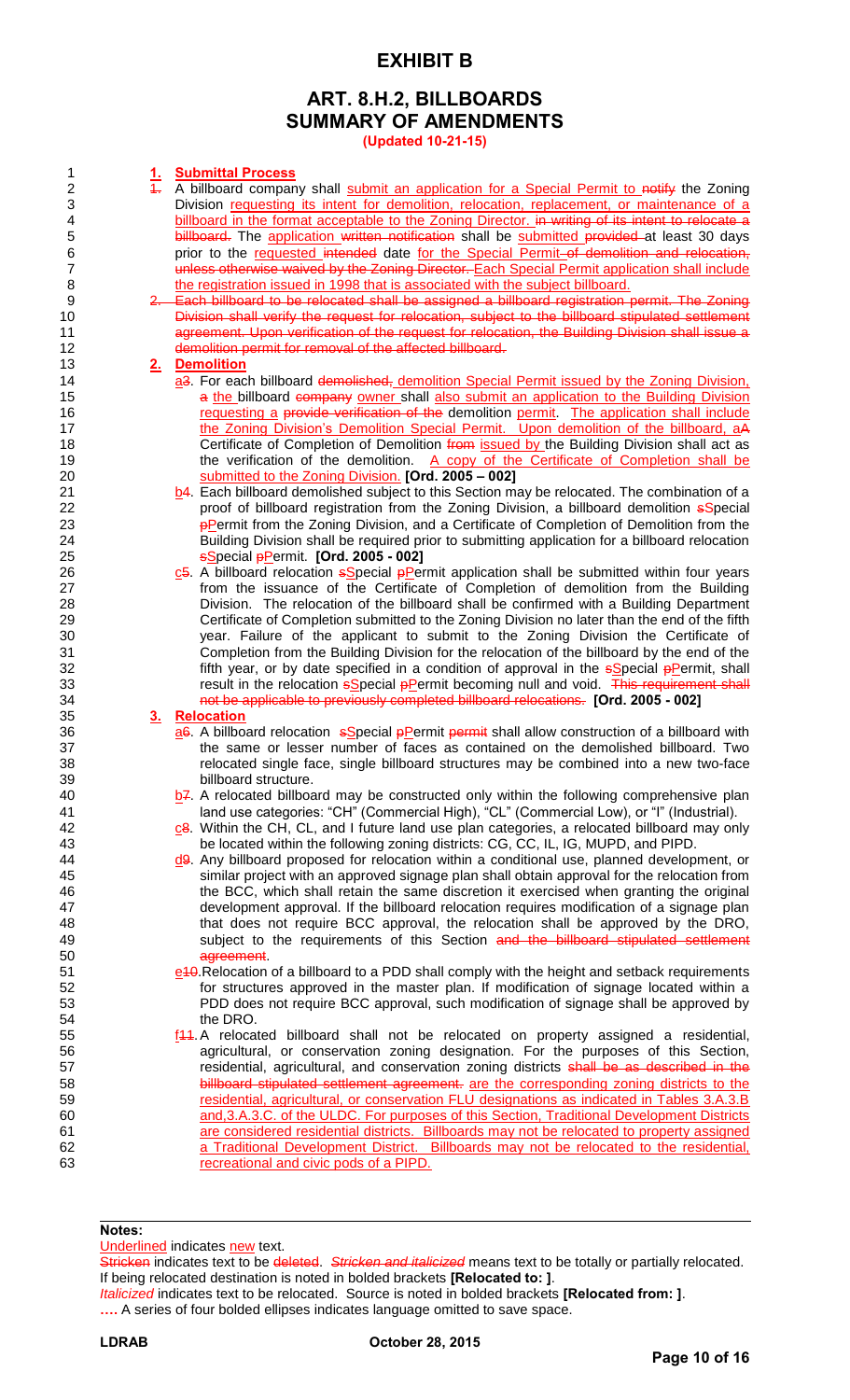### **ART. 8.H.2, BILLBOARDS SUMMARY OF AMENDMENTS**

**(Updated 10-21-15)**

| 1                       | <u>1.</u>      | <b>Submittal Process</b>                                                                                   |
|-------------------------|----------------|------------------------------------------------------------------------------------------------------------|
| $\overline{2}$          | $\ddagger$     | A billboard company shall submit an application for a Special Permit to notify the Zoning                  |
| $\sqrt{3}$              |                | Division requesting its intent for demolition, relocation, replacement, or maintenance of a                |
| $\overline{\mathbf{4}}$ |                | billboard in the format acceptable to the Zoning Director. in writing of its intent to relocate a          |
| 5                       |                | billboard. The application written notification shall be submitted provided at least 30 days               |
| $\,6$                   |                | prior to the requested intended date for the Special Permit-of demolition and relocation,                  |
| $\overline{7}$          |                | unless otherwise waived by the Zoning Director. Each Special Permit application shall include              |
| 8                       |                | the registration issued in 1998 that is associated with the subject billboard.                             |
| 9                       |                | 2. Each billboard to be relocated shall be assigned a billboard registration permit. The Zoning            |
| 10                      |                | Division shall verify the request for relocation, subject to the billboard stipulated settlement           |
| 11                      |                | agreement. Upon verification of the request for relocation, the Building Division shall issue a            |
| 12                      |                | demolition permit for removal of the affected billboard.                                                   |
| 13                      |                | 2. Demolition                                                                                              |
| 14                      |                | a3. For each billboard demolished, demolition Special Permit issued by the Zoning Division,                |
| 15                      |                | a the billboard company owner shall also submit an application to the Building Division                    |
| 16                      |                | requesting a provide verification of the demolition permit. The application shall include                  |
| 17                      |                | the Zoning Division's Demolition Special Permit. Upon demolition of the billboard, aA                      |
| 18                      |                | Certificate of Completion of Demolition from issued by the Building Division shall act as                  |
| 19                      |                | the verification of the demolition. A copy of the Certificate of Completion shall be                       |
| 20                      |                | submitted to the Zoning Division. [Ord. 2005 - 002]                                                        |
| 21                      |                | b4. Each billboard demolished subject to this Section may be relocated. The combination of a               |
| 22                      |                | proof of billboard registration from the Zoning Division, a billboard demolition <i>sSpecial</i>           |
| 23                      |                | <b>PPermit from the Zoning Division, and a Certificate of Completion of Demolition from the</b>            |
| 24                      |                | Building Division shall be required prior to submitting application for a billboard relocation             |
| 25                      |                | <b>s</b> Special <i>p</i> Permit. [Ord. 2005 - 002]                                                        |
| 26                      |                | $c$ 5. A billboard relocation $s$ Special $p$ Permit application shall be submitted within four years      |
| 27                      |                | from the issuance of the Certificate of Completion of demolition from the Building                         |
| 28                      |                | Division. The relocation of the billboard shall be confirmed with a Building Department                    |
| 29                      |                | Certificate of Completion submitted to the Zoning Division no later than the end of the fifth              |
| 30                      |                | year. Failure of the applicant to submit to the Zoning Division the Certificate of                         |
| 31                      |                | Completion from the Building Division for the relocation of the billboard by the end of the                |
| 32                      |                | fifth year, or by date specified in a condition of approval in the sSpecial pPermit, shall                 |
| 33                      |                | result in the relocation sSpecial pPermit becoming null and void. This requirement shall                   |
| 34                      |                | not be applicable to previously completed billboard relocations. [Ord. 2005 - 002]                         |
| 35                      | 3 <sub>1</sub> | Relocation                                                                                                 |
| 36                      |                | ae. A billboard relocation sSpecial pPermit permit shall allow construction of a billboard with            |
| 37                      |                | the same or lesser number of faces as contained on the demolished billboard. Two                           |
| 38                      |                | relocated single face, single billboard structures may be combined into a new two-face                     |
| 39                      |                | billboard structure.                                                                                       |
| 40                      |                | $b^2$ . A relocated billboard may be constructed only within the following comprehensive plan              |
| 41                      |                | land use categories: "CH" (Commercial High), "CL" (Commercial Low), or "I" (Industrial).                   |
| 42                      |                | c8. Within the CH, CL, and I future land use plan categories, a relocated billboard may only               |
| 43                      |                | be located within the following zoning districts: CG, CC, IL, IG, MUPD, and PIPD.                          |
| 44                      |                | $d9$ . Any billboard proposed for relocation within a conditional use, planned development, or             |
| 45                      |                | similar project with an approved signage plan shall obtain approval for the relocation from                |
| 46                      |                | the BCC, which shall retain the same discretion it exercised when granting the original                    |
| 47                      |                | development approval. If the billboard relocation requires modification of a signage plan                  |
| 48                      |                | that does not require BCC approval, the relocation shall be approved by the DRO,                           |
| 49                      |                | subject to the requirements of this Section and the billboard stipulated settlement                        |
| 50                      |                | agreement                                                                                                  |
| 51                      |                | e <sup>10</sup> . Relocation of a billboard to a PDD shall comply with the height and setback requirements |
| 52                      |                | for structures approved in the master plan. If modification of signage located within a                    |
| 53                      |                | PDD does not require BCC approval, such modification of signage shall be approved by                       |
| 54                      |                | the DRO.                                                                                                   |
| 55                      |                | f44. A relocated billboard shall not be relocated on property assigned a residential,                      |
| 56                      |                | agricultural, or conservation zoning designation. For the purposes of this Section,                        |
|                         |                |                                                                                                            |
|                         |                |                                                                                                            |
|                         |                | residential, agricultural, and conservation zoning districts shall be as described in the                  |
|                         |                | billboard stipulated settlement agreement. are the corresponding zoning districts to the                   |
| 57<br>58<br>59          |                | residential, agricultural, or conservation FLU designations as indicated in Tables 3.A.3.B.                |
| 60                      |                | and, 3.A.3.C. of the ULDC. For purposes of this Section, Traditional Development Districts                 |
|                         |                | are considered residential districts. Billboards may not be relocated to property assigned                 |
|                         |                | a Traditional Development District. Billboards may not be relocated to the residential,                    |
| 61<br>62<br>63          |                | recreational and civic pods of a PIPD.                                                                     |
|                         |                |                                                                                                            |
|                         |                |                                                                                                            |

**Notes:** 

Underlined indicates new text.

Stricken indicates text to be deleted. *Stricken and italicized* means text to be totally or partially relocated. If being relocated destination is noted in bolded brackets **[Relocated to: ]**.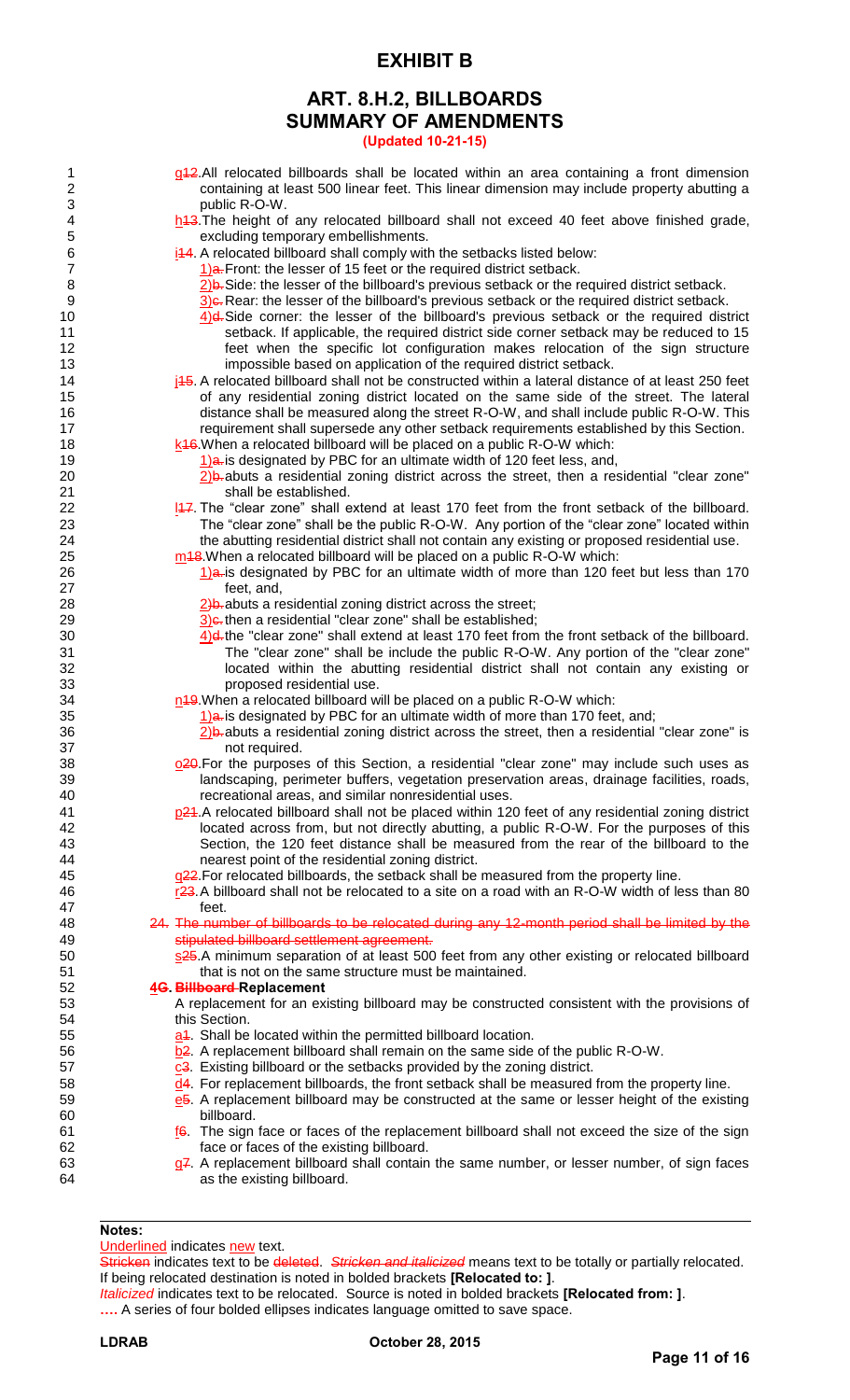### **ART. 8.H.2, BILLBOARDS SUMMARY OF AMENDMENTS**

**(Updated 10-21-15)**

- 1 g12.All relocated billboards shall be located within an area containing a front dimension<br>2 containing at least 500 linear feet. This linear dimension may include property abutting a 2 containing at least 500 linear feet. This linear dimension may include property abutting a 3 public R-O-W.
- 4 https://educated billboard shall not exceed 40 feet above finished grade,
- 5 excluding temporary embellishments.<br>6 i<sup>14</sup>4. A relocated billboard shall comply with i44. A relocated billboard shall comply with the setbacks listed below:
	-
- 7 1)a. Front: the lesser of 15 feet or the required district setback.<br>8 2) B. Side: the lesser of the billboard's previous setback or the region 8 2)b. Side: the lesser of the billboard's previous setback or the required district setback.<br>
9 30 Rear: the lesser of the billboard's previous setback or the required district setback.
	- $3$ ) $\epsilon$ . Rear: the lesser of the billboard's previous setback or the required district setback.
- 10  $\frac{4}{4}$ d. Side corner: the lesser of the billboard's previous setback or the required district 11 setback. If applicable, the required district side corner setback may be reduced to 15 12 feet when the specific lot configuration makes relocation of the sign structure 13 impossible based on application of the required district setback.
- 14  $j45$ . A relocated billboard shall not be constructed within a lateral distance of at least 250 feet 15 of any residential zoning district located on the same side of the street. The lateral 16 distance shall be measured along the street R-O-W, and shall include public R-O-W. This 17 **17 requirement shall supersede any other setback requirements established by this Section.** 18 k<sup>16</sup>.When a relocated billboard will be placed on a public R-O-W which:
- 19 10 1) $\frac{1}{2}$ a. is designated by PBC for an ultimate width of 120 feet less, and,

20 20 2)b. abuts a residential zoning district across the street, then a residential "clear zone" 21 **Shall be established.** 

- 22 **147.** The "clear zone" shall extend at least 170 feet from the front setback of the billboard. 23 The "clear zone" shall be the public R-O-W. Any portion of the "clear zone" located within 24 the abutting residential district shall not contain any existing or proposed residential use. 25  $\frac{m}{48}$ . When a relocated billboard will be placed on a public R-O-W which:
- 26 1)a. is designated by PBC for an ultimate width of more than 120 feet but less than 170 27 feet, and,
- 28  $\frac{2}{b}$  abuts a residential zoning district across the street;
	-
- 29  $\frac{3}{4}$ c. then a residential "clear zone" shall be established;<br>30  $\frac{4}{8}$ the "clear zone" shall extend at least 170 feet from 4)d. the "clear zone" shall extend at least 170 feet from the front setback of the billboard. 31 The "clear zone" shall be include the public R-O-W. Any portion of the "clear zone" 32 located within the abutting residential district shall not contain any existing or 33 proposed residential use.
- 34 n19.When a relocated billboard will be placed on a public R-O-W which:
	- $1$ ) $a$  is designated by PBC for an ultimate width of more than 170 feet, and;
- $36$  2)b-abuts a residential zoning district across the street, then a residential "clear zone" is 37 not required.
- 38  $Q^2\theta$ . For the purposes of this Section, a residential "clear zone" may include such uses as 39 landscaping, perimeter buffers, vegetation preservation areas, drainage facilities, roads, 40 recreational areas, and similar nonresidential uses.
- 41 **p24.**A relocated billboard shall not be placed within 120 feet of any residential zoning district 42 located across from, but not directly abutting, a public R-O-W. For the purposes of this 43 Section, the 120 feet distance shall be measured from the rear of the billboard to the 44 section of the residential zoning district. nearest point of the residential zoning district.
- 45 q<sup>22</sup>. For relocated billboards, the setback shall be measured from the property line.
- 46 r23. A billboard shall not be relocated to a site on a road with an R-O-W width of less than 80 47 feet.

48 24. The number of billboards to be relocated during any 12-month period shall be limited by the 49 stipulated billboard settlement agreement.

50 s25.A minimum separation of at least 500 feet from any other existing or relocated billboard 51 that is not on the same structure must be maintained.

### 52 **4G. Billboard Replacement**

- A replacement for an existing billboard may be constructed consistent with the provisions of 54 this Section.
- 55 a<sup>4</sup>. Shall be located within the permitted billboard location.
- 56 b2. A replacement billboard shall remain on the same side of the public R-O-W.
- 57 c3. Existing billboard or the setbacks provided by the zoning district.
- $\frac{d}{dx}$ . For replacement billboards, the front setback shall be measured from the property line.
- 59 **e5.** A replacement billboard may be constructed at the same or lesser height of the existing 60 billboard.
- 61  $\frac{f}{6}$ . The sign face or faces of the replacement billboard shall not exceed the size of the sign 62 face or faces of the existing billboard.
- 63 g7. A replacement billboard shall contain the same number, or lesser number, of sign faces 64 as the existing billboard.

### **Notes:**

Underlined indicates new text.

Stricken indicates text to be deleted. *Stricken and italicized* means text to be totally or partially relocated. If being relocated destination is noted in bolded brackets **[Relocated to: ]**.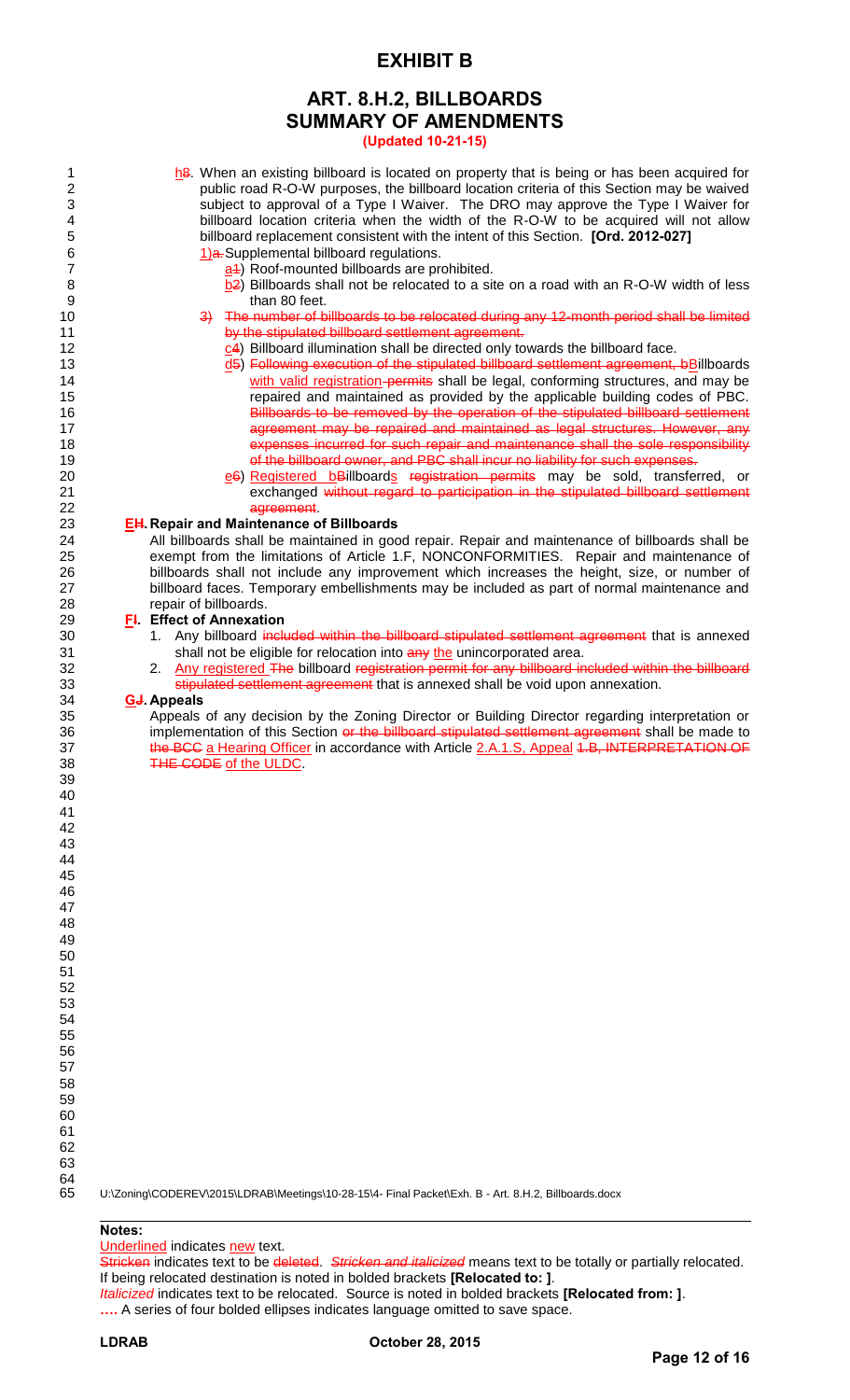### **ART. 8.H.2, BILLBOARDS SUMMARY OF AMENDMENTS**

**(Updated 10-21-15)**

- 1 has. When an existing billboard is located on property that is being or has been acquired for<br>public road R-O-W purposes, the billboard location criteria of this Section may be waived public road R-O-W purposes, the billboard location criteria of this Section may be waived 3 subject to approval of a Type I Waiver. The DRO may approve the Type I Waiver for<br>4 billboard location criteria when the width of the R-O-W to be acquired will not allow 4 billboard location criteria when the width of the R-O-W to be acquired will not allow<br>5 billboard replacement consistent with the intent of this Section. **[Ord. 2012-027]** 5 billboard replacement consistent with the intent of this Section. **[Ord. 2012-027]**  1)a. Supplemental billboard regulations.
	-
- 7 a1) Roof-mounted billboards are prohibited.<br>8 b2) Billboards shall not be relocated to a sit 8 b2) Billboards shall not be relocated to a site on a road with an R-O-W width of less than 80 feet. than 80 feet.
- 10 3— The number of billboards to be relocated during any 12-month period shall be limited 11 **by the stipulated billboard settlement agreement.**
- 12 c4) Billboard illumination shall be directed only towards the billboard face.
- 13 d5) Following execution of the stipulated billboard settlement agreement, bBillboards 14 **with valid registration-permits** shall be legal, conforming structures, and may be 15 repaired and maintained as provided by the applicable building codes of PBC. 16 **Billboards to be removed by the operation of the stipulated billboard settlement** 17 **17 agreement may be repaired and maintained as legal structures. However, any** 18 **Expenses incurred for such repair and maintenance shall the sole responsibility** 19 **19 of the billboard owner, and PBC shall incur no liability for such expenses**
- 20 e6) Registered bBillboards registration permits may be sold, transferred, or 21 exchanged without regard to participation in the stipulated billboard settlement 22 agreement.

## 23 **EH. Repair and Maintenance of Billboards**

All billboards shall be maintained in good repair. Repair and maintenance of billboards shall be exempt from the limitations of Article 1.F, NONCONFORMITIES. Repair and maintenance of billboards shall not include any improvement which increases the height, size, or number of billboard faces. Temporary embellishments may be included as part of normal maintenance and repair of billboards.

## 29 **F<sup>I</sup>. Effect of Annexation**<br>30 1. Any billboard inclu

- 1. Any billboard included within the billboard stipulated settlement agreement that is annexed 31 shall not be eligible for relocation into any the unincorporated area.
- 32 2. Any registered The billboard registration permit for any billboard included within the billboard 33 stipulated settlement agreement that is annexed shall be void upon annexation.

### 34 **GJ. Appeals**

Appeals of any decision by the Zoning Director or Building Director regarding interpretation or 36 implementation of this Section or the billboard stipulated settlement agreement shall be made to 37 the BCC a Hearing Officer in accordance with Article 2.A.1.S, Appeal 1.B, INTERPRETATION OF 38 THE CODE of the ULDC.

U:\Zoning\CODEREV\2015\LDRAB\Meetings\10-28-15\4- Final Packet\Exh. B - Art. 8.H.2, Billboards.docx

### **Notes:**

Underlined indicates new text.

Stricken indicates text to be deleted. *Stricken and italicized* means text to be totally or partially relocated. If being relocated destination is noted in bolded brackets **[Relocated to: ]**.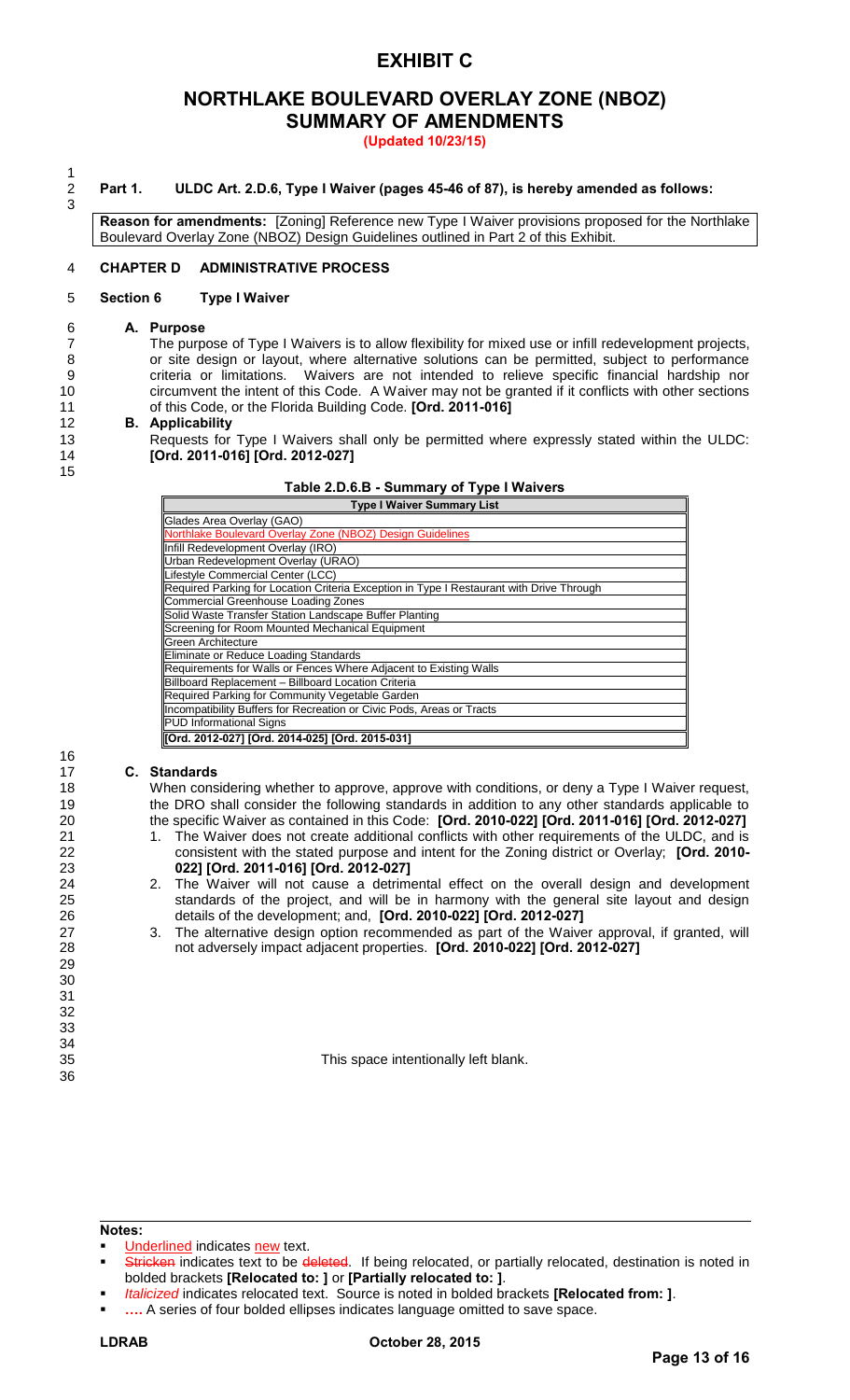### **NORTHLAKE BOULEVARD OVERLAY ZONE (NBOZ) SUMMARY OF AMENDMENTS**

**(Updated 10/23/15)** 

2 **Part 1. ULDC Art. 2.D.6, Type I Waiver (pages 45-46 of 87), is hereby amended as follows:** 

**Reason for amendments:** [Zoning] Reference new Type I Waiver provisions proposed for the Northlake Boulevard Overlay Zone (NBOZ) Design Guidelines outlined in Part 2 of this Exhibit.

#### 4 **CHAPTER D ADMINISTRATIVE PROCESS**

#### 5 **Section 6 Type I Waiver**

#### 6 **A. Purpose**

15

16

36

 $\frac{1}{2}$ 

3

 The purpose of Type I Waivers is to allow flexibility for mixed use or infill redevelopment projects, 8 or site design or layout, where alternative solutions can be permitted, subject to performance criteria or limitations. Waivers are not intended to relieve specific financial hardship nor circumvent the intent of this Code. A Waiver may not be granted if it conflicts with other sections of this Code, or the Florida Building Code. **[Ord. 2011-016]**

#### 12 **B. Applicability**

13 Requests for Type I Waivers shall only be permitted where expressly stated within the ULDC: 14 **[Ord. 2011-016] [Ord. 2012-027]**

|  | Table 2.D.6.B - Summary of Type I Waivers |
|--|-------------------------------------------|
|  |                                           |

| <b>Type I Waiver Summary List</b>                                                        |  |  |  |  |
|------------------------------------------------------------------------------------------|--|--|--|--|
| Glades Area Overlay (GAO)                                                                |  |  |  |  |
| Northlake Boulevard Overlay Zone (NBOZ) Design Guidelines                                |  |  |  |  |
| Infill Redevelopment Overlay (IRO)                                                       |  |  |  |  |
| Urban Redevelopment Overlay (URAO)                                                       |  |  |  |  |
| Lifestyle Commercial Center (LCC)                                                        |  |  |  |  |
| Required Parking for Location Criteria Exception in Type I Restaurant with Drive Through |  |  |  |  |
| Commercial Greenhouse Loading Zones                                                      |  |  |  |  |
| Solid Waste Transfer Station Landscape Buffer Planting                                   |  |  |  |  |
| Screening for Room Mounted Mechanical Equipment                                          |  |  |  |  |
| Green Architecture                                                                       |  |  |  |  |
| Eliminate or Reduce Loading Standards                                                    |  |  |  |  |
| Requirements for Walls or Fences Where Adjacent to Existing Walls                        |  |  |  |  |
| Billboard Replacement - Billboard Location Criteria                                      |  |  |  |  |
| Required Parking for Community Vegetable Garden                                          |  |  |  |  |
| Incompatibility Buffers for Recreation or Civic Pods, Areas or Tracts                    |  |  |  |  |
| <b>PUD Informational Signs</b>                                                           |  |  |  |  |
| Ord. 2012-027] [Ord. 2014-025] [Ord. 2015-031]                                           |  |  |  |  |

#### 17 **C. Standards**

18 When considering whether to approve, approve with conditions, or deny a Type I Waiver request, 19 the DRO shall consider the following standards in addition to any other standards applicable to 20 the specific Waiver as contained in this Code: **[Ord. 2010-022] [Ord. 2011-016] [Ord. 2012-027]**

- 21 1. The Waiver does not create additional conflicts with other requirements of the ULDC, and is 22 consistent with the stated purpose and intent for the Zoning district or Overlay; **[Ord. 2010-** 23 **022] [Ord. 2011-016] [Ord. 2012-027]**
- 24 2. The Waiver will not cause a detrimental effect on the overall design and development<br>25 standards of the project, and will be in harmony with the general site layout and design standards of the project, and will be in harmony with the general site layout and design 26 details of the development; and, **[Ord. 2010-022] [Ord. 2012-027]**
- 27 3. The alternative design option recommended as part of the Waiver approval, if granted, will<br>28 on the diversely impact adjacent properties. **[Ord. 2010-022] [Ord. 2012-027]** 28 not adversely impact adjacent properties. **[Ord. 2010-022] [Ord. 2012-027]**

35 This space intentionally left blank.

**Notes:** 

- Underlined indicates new text.
- Stricken indicates text to be deleted. If being relocated, or partially relocated, destination is noted in bolded brackets **[Relocated to: ]** or **[Partially relocated to: ]**.
- *Italicized* indicates relocated text. Source is noted in bolded brackets **[Relocated from: ]**.
- **….** A series of four bolded ellipses indicates language omitted to save space.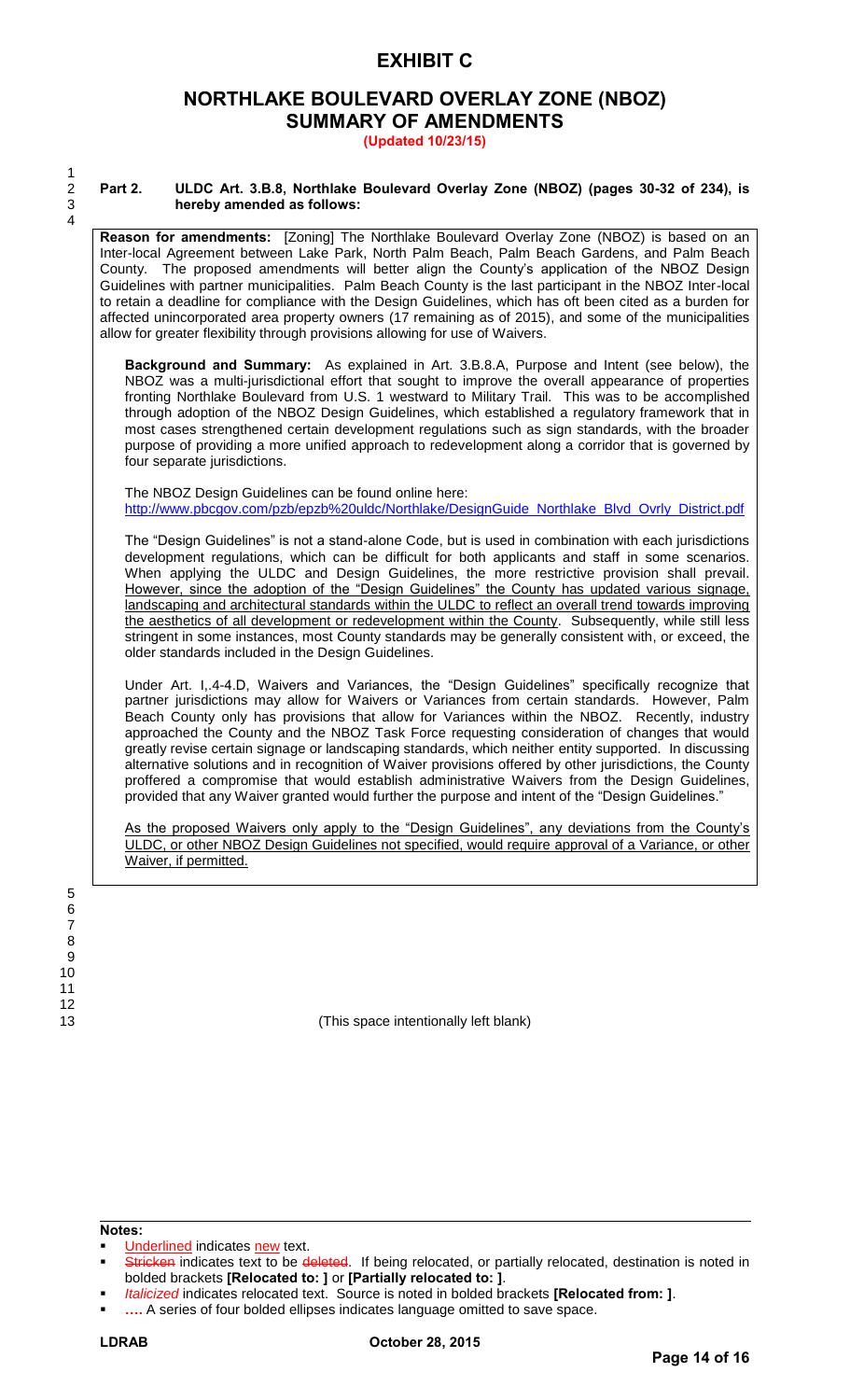### **NORTHLAKE BOULEVARD OVERLAY ZONE (NBOZ) SUMMARY OF AMENDMENTS**

**(Updated 10/23/15)** 

 $\frac{2}{3}$ 4

### 2 **Part 2. ULDC Art. 3.B.8, Northlake Boulevard Overlay Zone (NBOZ) (pages 30-32 of 234), is**  3 **hereby amended as follows:**

**Reason for amendments:** [Zoning] The Northlake Boulevard Overlay Zone (NBOZ) is based on an Inter-local Agreement between Lake Park, North Palm Beach, Palm Beach Gardens, and Palm Beach County. The proposed amendments will better align the County's application of the NBOZ Design Guidelines with partner municipalities. Palm Beach County is the last participant in the NBOZ Inter-local to retain a deadline for compliance with the Design Guidelines, which has oft been cited as a burden for affected unincorporated area property owners (17 remaining as of 2015), and some of the municipalities allow for greater flexibility through provisions allowing for use of Waivers.

**Background and Summary:** As explained in Art. 3.B.8.A, Purpose and Intent (see below), the NBOZ was a multi-jurisdictional effort that sought to improve the overall appearance of properties fronting Northlake Boulevard from U.S. 1 westward to Military Trail. This was to be accomplished through adoption of the NBOZ Design Guidelines, which established a regulatory framework that in most cases strengthened certain development regulations such as sign standards, with the broader purpose of providing a more unified approach to redevelopment along a corridor that is governed by four separate jurisdictions.

The NBOZ Design Guidelines can be found online here: [http://www.pbcgov.com/pzb/epzb%20uldc/Northlake/DesignGuide\\_Northlake\\_Blvd\\_Ovrly\\_District.pdf](http://www.pbcgov.com/pzb/epzb%20uldc/Northlake/DesignGuide_Northlake_Blvd_Ovrly_District.pdf)

The "Design Guidelines" is not a stand-alone Code, but is used in combination with each jurisdictions development regulations, which can be difficult for both applicants and staff in some scenarios. When applying the ULDC and Design Guidelines, the more restrictive provision shall prevail. However, since the adoption of the "Design Guidelines" the County has updated various signage, landscaping and architectural standards within the ULDC to reflect an overall trend towards improving the aesthetics of all development or redevelopment within the County. Subsequently, while still less stringent in some instances, most County standards may be generally consistent with, or exceed, the older standards included in the Design Guidelines.

Under Art. I,.4-4.D, Waivers and Variances, the "Design Guidelines" specifically recognize that partner jurisdictions may allow for Waivers or Variances from certain standards. However, Palm Beach County only has provisions that allow for Variances within the NBOZ. Recently, industry approached the County and the NBOZ Task Force requesting consideration of changes that would greatly revise certain signage or landscaping standards, which neither entity supported. In discussing alternative solutions and in recognition of Waiver provisions offered by other jurisdictions, the County proffered a compromise that would establish administrative Waivers from the Design Guidelines, provided that any Waiver granted would further the purpose and intent of the "Design Guidelines."

As the proposed Waivers only apply to the "Design Guidelines", any deviations from the County's ULDC, or other NBOZ Design Guidelines not specified, would require approval of a Variance, or other Waiver, if permitted.

13 (This space intentionally left blank)

**Notes:** 

Underlined indicates new text.

Stricken indicates text to be deleted. If being relocated, or partially relocated, destination is noted in bolded brackets **[Relocated to: ]** or **[Partially relocated to: ]**.

*Italicized* indicates relocated text. Source is noted in bolded brackets **[Relocated from: ]**.

**….** A series of four bolded ellipses indicates language omitted to save space.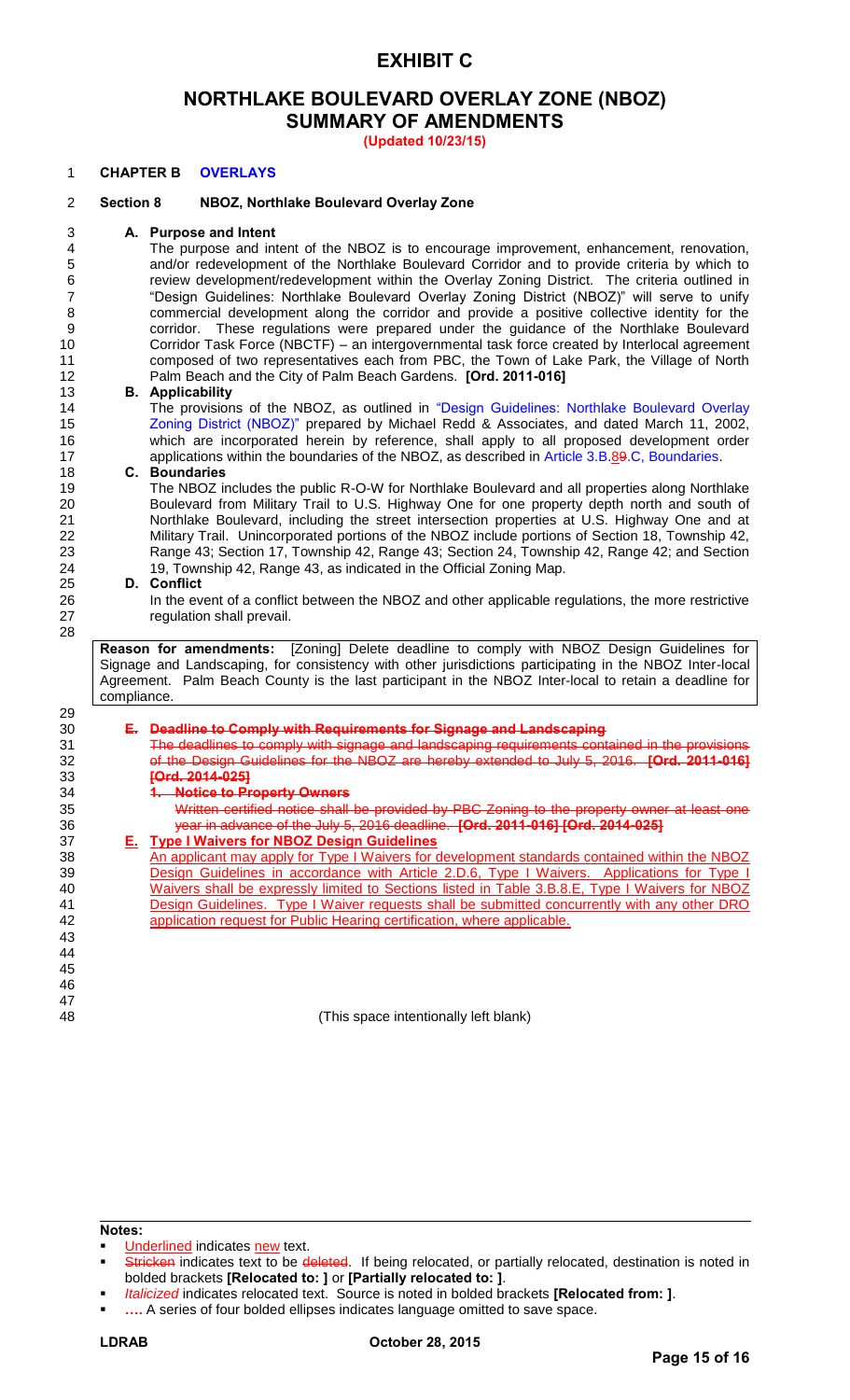### **NORTHLAKE BOULEVARD OVERLAY ZONE (NBOZ) SUMMARY OF AMENDMENTS**

**(Updated 10/23/15)** 

#### **CHAPTER B OVERLAYS**

#### **Section 8 NBOZ, Northlake Boulevard Overlay Zone**

### **A. Purpose and Intent**

The purpose and intent of the NBOZ is to encourage improvement, enhancement, renovation, 5 and/or redevelopment of the Northlake Boulevard Corridor and to provide criteria by which to<br>6 **by Frange and Torry Correly Corridor** The Citeria outlined in review development/redevelopment within the Overlay Zoning District. The criteria outlined in "Design Guidelines: Northlake Boulevard Overlay Zoning District (NBOZ)" will serve to unify commercial development along the corridor and provide a positive collective identity for the corridor. These regulations were prepared under the guidance of the Northlake Boulevard Corridor Task Force (NBCTF) – an intergovernmental task force created by Interlocal agreement composed of two representatives each from PBC, the Town of Lake Park, the Village of North Palm Beach and the City of Palm Beach Gardens. **[Ord. 2011-016]**

#### **B. Applicability**

14 The provisions of the NBOZ, as outlined in "Design Guidelines: Northlake Boulevard Overlay Zoning District (NBOZ)" prepared by Michael Redd & Associates, and dated March 11, 2002, which are incorporated herein by reference, shall apply to all proposed development order 17 applications within the boundaries of the NBOZ, as described in Article 3.B.89.C, Boundaries.<br>18 **C. Boundaries** 

#### **C. Boundaries**

 The NBOZ includes the public R-O-W for Northlake Boulevard and all properties along Northlake Boulevard from Military Trail to U.S. Highway One for one property depth north and south of Northlake Boulevard, including the street intersection properties at U.S. Highway One and at Military Trail. Unincorporated portions of the NBOZ include portions of Section 18, Township 42, Range 43; Section 17, Township 42, Range 43; Section 24, Township 42, Range 42; and Section 19, Township 42, Range 43, as indicate[d in the Official Zoning Map.](http://epzb/uldc/LinkToSectionLink.asp?bookmark_seq=4073) 

#### **D. Conflict**

 In the event of a conflict between the NBOZ and other applicable regulations, the more restrictive regulation shall prevail.

**Reason for amendments:** [Zoning] Delete deadline to comply with NBOZ Design Guidelines for Signage and Landscaping, for consistency with other jurisdictions participating in the NBOZ Inter-local Agreement. Palm Beach County is the last participant in the NBOZ Inter-local to retain a deadline for compliance.

| 29 |    |                                                                                                 |
|----|----|-------------------------------------------------------------------------------------------------|
| 30 |    | <b>Deadline to Comply with Requirements for Signage and Landscaping</b>                         |
| 31 |    | The deadlines to comply with signage and landscaping requirements contained in the provisions   |
| 32 |    | of the Design Guidelines for the NBOZ are hereby extended to July 5, 2016.<br>$I$ Ord $2011$    |
| 33 |    | <del>[Ord. 2014-025]</del>                                                                      |
| 34 |    | <b>Notice to Property Owners</b>                                                                |
| 35 |    | Written certified notice shall be provided by PBC Zoning to the property owner at least one     |
| 36 |    | year in advance of the July 5, 2016 deadline. [Ord. 2011-016] [Ord. 2014-025]                   |
| 37 | Е. | <b>Type I Waivers for NBOZ Design Guidelines</b>                                                |
| 38 |    | An applicant may apply for Type I Waivers for development standards contained within the NBOZ   |
| 39 |    | Design Guidelines in accordance with Article 2.D.6, Type I Waivers.<br>Applications for Type I  |
| 40 |    | Waivers shall be expressly limited to Sections listed in Table 3.B.8.E, Type I Waivers for NBOZ |
| 41 |    | Design Guidelines. Type I Waiver requests shall be submitted concurrently with any other DRO    |
| 42 |    | application request for Public Hearing certification, where applicable.                         |
| 43 |    |                                                                                                 |
| 44 |    |                                                                                                 |
| 45 |    |                                                                                                 |
| 46 |    |                                                                                                 |
| 47 |    |                                                                                                 |

(This space intentionally left blank)

**Notes:** 

**….** A series of four bolded ellipses indicates language omitted to save space.

Underlined indicates new text.

Stricken indicates text to be deleted. If being relocated, or partially relocated, destination is noted in bolded brackets **[Relocated to: ]** or **[Partially relocated to: ]**.

*Italicized* indicates relocated text. Source is noted in bolded brackets **[Relocated from: ]**.